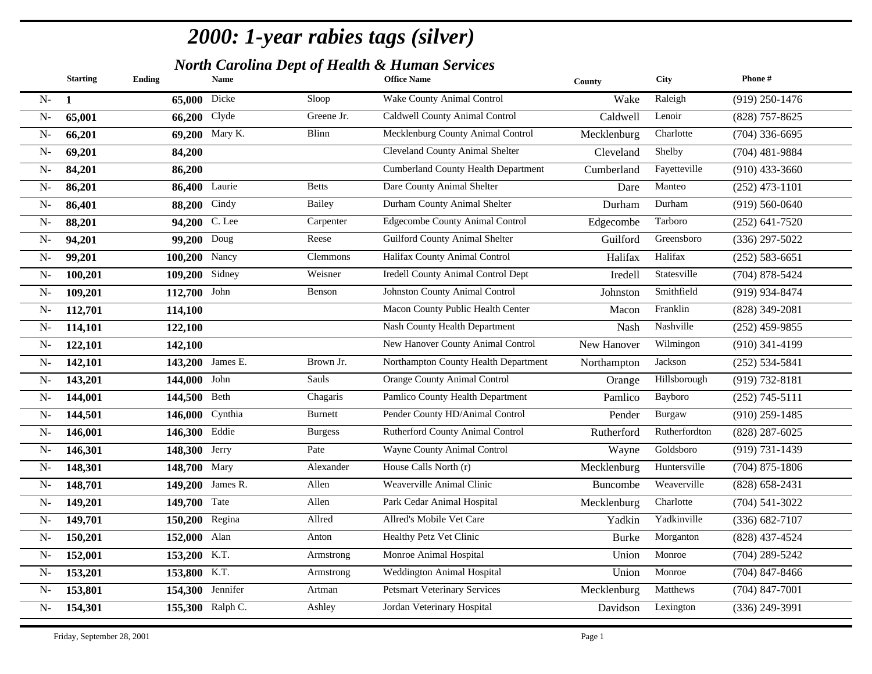|      | <b>Starting</b> | <b>Ending</b>       | <b>Name</b>      |                 | <b>Office Name</b>                         | County       | <b>City</b>   | Phone#             |
|------|-----------------|---------------------|------------------|-----------------|--------------------------------------------|--------------|---------------|--------------------|
| $N-$ | 1               | <b>65,000</b> Dicke |                  | Sloop           | Wake County Animal Control                 | Wake         | Raleigh       | $(919)$ 250-1476   |
| $N-$ | 65,001          | $66,200$ Clyde      |                  | Greene Jr.      | Caldwell County Animal Control             | Caldwell     | Lenoir        | $(828)$ 757-8625   |
| $N-$ | 66,201          |                     | 69,200 Mary K.   | Blinn           | Mecklenburg County Animal Control          | Mecklenburg  | Charlotte     | $(704)$ 336-6695   |
| $N-$ | 69,201          | 84,200              |                  |                 | <b>Cleveland County Animal Shelter</b>     | Cleveland    | Shelby        | $(704)$ 481-9884   |
| $N-$ | 84,201          | 86,200              |                  |                 | <b>Cumberland County Health Department</b> | Cumberland   | Fayetteville  | $(910)$ 433-3660   |
| $N-$ | 86,201          | 86,400 Laurie       |                  | <b>Betts</b>    | Dare County Animal Shelter                 | Dare         | Manteo        | $(252)$ 473-1101   |
| $N-$ | 86,401          | $88,200$ Cindy      |                  | <b>Bailey</b>   | Durham County Animal Shelter               | Durham       | Durham        | $(919) 560 - 0640$ |
| $N-$ | 88,201          | 94,200 C. Lee       |                  | Carpenter       | <b>Edgecombe County Animal Control</b>     | Edgecombe    | Tarboro       | $(252)$ 641-7520   |
| $N-$ | 94,201          | 99,200 Doug         |                  | Reese           | Guilford County Animal Shelter             | Guilford     | Greensboro    | $(336)$ 297-5022   |
| $N-$ | 99,201          | 100,200 Nancy       |                  | <b>Clemmons</b> | Halifax County Animal Control              | Halifax      | Halifax       | $(252) 583 - 6651$ |
| $N-$ | 100,201         | 109,200 Sidney      |                  | Weisner         | <b>Iredell County Animal Control Dept</b>  | Iredell      | Statesville   | $(704)$ 878-5424   |
| $N-$ | 109,201         | 112,700 John        |                  | Benson          | <b>Johnston County Animal Control</b>      | Johnston     | Smithfield    | (919) 934-8474     |
| $N-$ | 112,701         | 114,100             |                  |                 | Macon County Public Health Center          | Macon        | Franklin      | $(828)$ 349-2081   |
| $N-$ | 114,101         | 122,100             |                  |                 | Nash County Health Department              | Nash         | Nashville     | $(252)$ 459-9855   |
| $N-$ | 122,101         | 142,100             |                  |                 | New Hanover County Animal Control          | New Hanover  | Wilmingon     | $(910)$ 341-4199   |
| $N-$ | 142,101         |                     | 143,200 James E. | Brown Jr.       | Northampton County Health Department       | Northampton  | Jackson       | $(252) 534 - 5841$ |
| $N-$ | 143,201         | 144,000 John        |                  | Sauls           | Orange County Animal Control               | Orange       | Hillsborough  | $(919) 732 - 8181$ |
| $N-$ | 144,001         | 144,500 Beth        |                  | Chagaris        | Pamlico County Health Department           | Pamlico      | Bayboro       | $(252)$ 745-5111   |
| $N-$ | 144,501         | 146,000 Cynthia     |                  | <b>Burnett</b>  | Pender County HD/Animal Control            | Pender       | Burgaw        | $(910)$ 259-1485   |
| $N-$ | 146,001         | 146,300 Eddie       |                  | <b>Burgess</b>  | Rutherford County Animal Control           | Rutherford   | Rutherfordton | $(828)$ 287-6025   |
| $N-$ | 146,301         | 148,300 Jerry       |                  | Pate            | <b>Wayne County Animal Control</b>         | Wayne        | Goldsboro     | $(919) 731 - 1439$ |
| $N-$ | 148,301         | 148,700 Mary        |                  | Alexander       | House Calls North (r)                      | Mecklenburg  | Huntersville  | $(704)$ 875-1806   |
| $N-$ | 148,701         |                     | 149,200 James R. | Allen           | Weaverville Animal Clinic                  | Buncombe     | Weaverville   | $(828) 658 - 2431$ |
| $N-$ | 149,201         | 149,700 Tate        |                  | Allen           | Park Cedar Animal Hospital                 | Mecklenburg  | Charlotte     | $(704)$ 541-3022   |
| $N-$ | 149,701         | 150,200 Regina      |                  | Allred          | Allred's Mobile Vet Care                   | Yadkin       | Yadkinville   | $(336) 682 - 7107$ |
| $N-$ | 150,201         | 152,000 Alan        |                  | Anton           | Healthy Petz Vet Clinic                    | <b>Burke</b> | Morganton     | $(828)$ 437-4524   |
| $N-$ | 152,001         | 153,200 K.T.        |                  | Armstrong       | Monroe Animal Hospital                     | Union        | Monroe        | $(704)$ 289-5242   |
| $N-$ | 153,201         | 153,800 K.T.        |                  | Armstrong       | Weddington Animal Hospital                 | Union        | Monroe        | $(704)$ 847-8466   |
| $N-$ | 153,801         | 154,300 Jennifer    |                  | Artman          | <b>Petsmart Veterinary Services</b>        | Mecklenburg  | Matthews      | $(704)$ 847-7001   |
| $N-$ | 154,301         |                     | 155,300 Ralph C. | Ashley          | Jordan Veterinary Hospital                 | Davidson     | Lexington     | (336) 249-3991     |
|      |                 |                     |                  |                 |                                            |              |               |                    |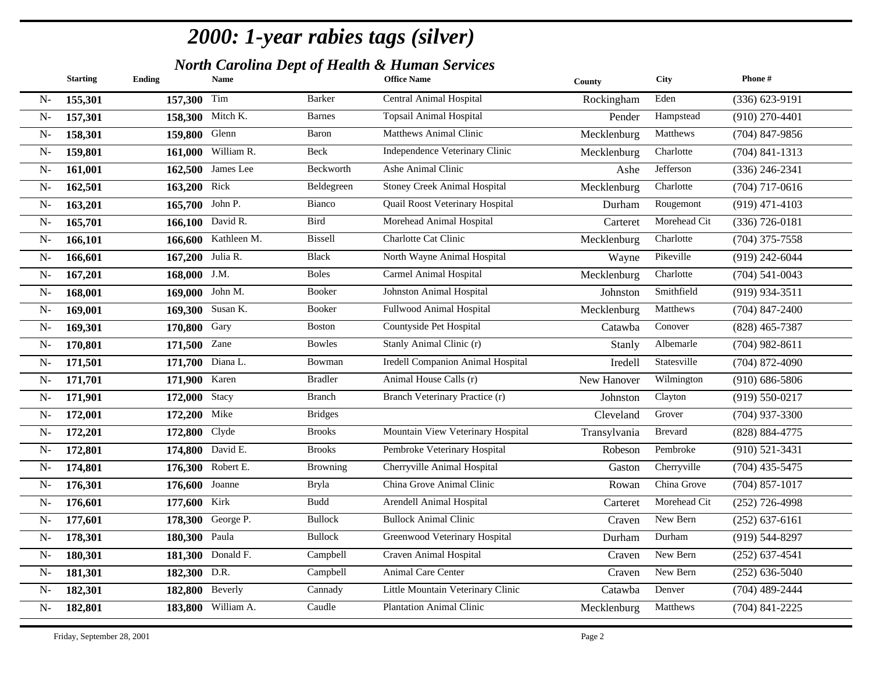|       | <b>Starting</b> | <b>Ending</b>     | <b>Name</b>         |                 | <b>Office Name</b>                     | County       | <b>City</b>    | Phone#             |
|-------|-----------------|-------------------|---------------------|-----------------|----------------------------------------|--------------|----------------|--------------------|
| $N-$  | 155,301         | 157,300 Tim       |                     | <b>Barker</b>   | Central Animal Hospital                | Rockingham   | Eden           | $(336) 623 - 9191$ |
| $N-$  | 157,301         |                   | 158,300 Mitch K.    | <b>Barnes</b>   | <b>Topsail Animal Hospital</b>         | Pender       | Hampstead      | $(910)$ 270-4401   |
| $N-$  | 158,301         | 159,800 Glenn     |                     | Baron           | <b>Matthews Animal Clinic</b>          | Mecklenburg  | Matthews       | $(704)$ 847-9856   |
| $N-$  | 159,801         |                   | 161,000 William R.  | Beck            | Independence Veterinary Clinic         | Mecklenburg  | Charlotte      | $(704)$ 841-1313   |
| $N-$  | 161,001         |                   | $162,500$ James Lee | Beckworth       | Ashe Animal Clinic                     | Ashe         | Jefferson      | $(336)$ 246-2341   |
| $N-$  | 162,501         | 163,200 Rick      |                     | Beldegreen      | <b>Stoney Creek Animal Hospital</b>    | Mecklenburg  | Charlotte      | $(704)$ 717-0616   |
| $N-$  | 163,201         | $165,700$ John P. |                     | Bianco          | <b>Quail Roost Veterinary Hospital</b> | Durham       | Rougemont      | $(919)$ 471-4103   |
| $N-$  | 165,701         |                   | 166,100 David R.    | Bird            | Morehead Animal Hospital               | Carteret     | Morehead Cit   | $(336)$ 726-0181   |
| $N-$  | 166,101         |                   | 166,600 Kathleen M. | <b>Bissell</b>  | Charlotte Cat Clinic                   | Mecklenburg  | Charlotte      | $(704)$ 375-7558   |
| $N-$  | 166,601         | 167,200 Julia R.  |                     | <b>Black</b>    | North Wayne Animal Hospital            | Wayne        | Pikeville      | $(919)$ 242-6044   |
| $N-$  | 167,201         | 168,000 J.M.      |                     | <b>Boles</b>    | Carmel Animal Hospital                 | Mecklenburg  | Charlotte      | $(704)$ 541-0043   |
| $N-$  | 168,001         | 169,000 John M.   |                     | Booker          | Johnston Animal Hospital               | Johnston     | Smithfield     | $(919)$ 934-3511   |
| $N-$  | 169,001         |                   | 169,300 Susan K.    | Booker          | Fullwood Animal Hospital               | Mecklenburg  | Matthews       | $(704)$ 847-2400   |
| $N-$  | 169,301         | 170,800 Gary      |                     | Boston          | Countyside Pet Hospital                | Catawba      | Conover        | $(828)$ 465-7387   |
| $N-$  | 170,801         | 171,500 Zane      |                     | <b>Bowles</b>   | Stanly Animal Clinic (r)               | Stanly       | Albemarle      | $(704)$ 982-8611   |
| $N-$  | 171,501         | 171,700 Diana L.  |                     | Bowman          | Iredell Companion Animal Hospital      | Iredell      | Statesville    | $(704)$ 872-4090   |
| $N-$  | 171,701         | 171,900 Karen     |                     | <b>Bradler</b>  | Animal House Calls (r)                 | New Hanover  | Wilmington     | $(910) 686 - 5806$ |
| $N-$  | 171,901         | 172,000 Stacy     |                     | <b>Branch</b>   | Branch Veterinary Practice (r)         | Johnston     | Clayton        | $(919) 550 - 0217$ |
| $N-$  | 172,001         | 172,200 Mike      |                     | <b>Bridges</b>  |                                        | Cleveland    | Grover         | $(704)$ 937-3300   |
| $N-$  | 172,201         | 172,800 Clyde     |                     | <b>Brooks</b>   | Mountain View Veterinary Hospital      | Transylvania | <b>Brevard</b> | (828) 884-4775     |
| $N-$  | 172,801         |                   | 174,800 David E.    | <b>Brooks</b>   | Pembroke Veterinary Hospital           | Robeson      | Pembroke       | $(910) 521 - 3431$ |
| $N -$ | 174,801         |                   | 176,300 Robert E.   | <b>Browning</b> | Cherryville Animal Hospital            | Gaston       | Cherryville    | $(704)$ 435-5475   |
| $N-$  | 176,301         | 176,600 Joanne    |                     | <b>Bryla</b>    | China Grove Animal Clinic              | Rowan        | China Grove    | $(704)$ 857-1017   |
| $N-$  | 176,601         | 177,600 Kirk      |                     | <b>Budd</b>     | Arendell Animal Hospital               | Carteret     | Morehead Cit   | $(252)$ 726-4998   |
| $N-$  | 177,601         |                   | 178,300 George P.   | <b>Bullock</b>  | <b>Bullock Animal Clinic</b>           | Craven       | New Bern       | $(252) 637-6161$   |
| $N -$ | 178,301         | 180,300 Paula     |                     | <b>Bullock</b>  | Greenwood Veterinary Hospital          | Durham       | Durham         | $(919) 544 - 8297$ |
| $N-$  | 180,301         |                   | 181,300 Donald F.   | Campbell        | Craven Animal Hospital                 | Craven       | New Bern       | $(252) 637 - 4541$ |
| $N-$  | 181,301         | 182,300 D.R.      |                     | Campbell        | Animal Care Center                     | Craven       | New Bern       | $(252) 636 - 5040$ |
| $N-$  | 182,301         | 182,800 Beverly   |                     | Cannady         | Little Mountain Veterinary Clinic      | Catawba      | Denver         | $(704)$ 489-2444   |
| $N-$  | 182,801         |                   | 183,800 William A.  | Caudle          | <b>Plantation Animal Clinic</b>        | Mecklenburg  | Matthews       | $(704)$ 841-2225   |
|       |                 |                   |                     |                 |                                        |              |                |                    |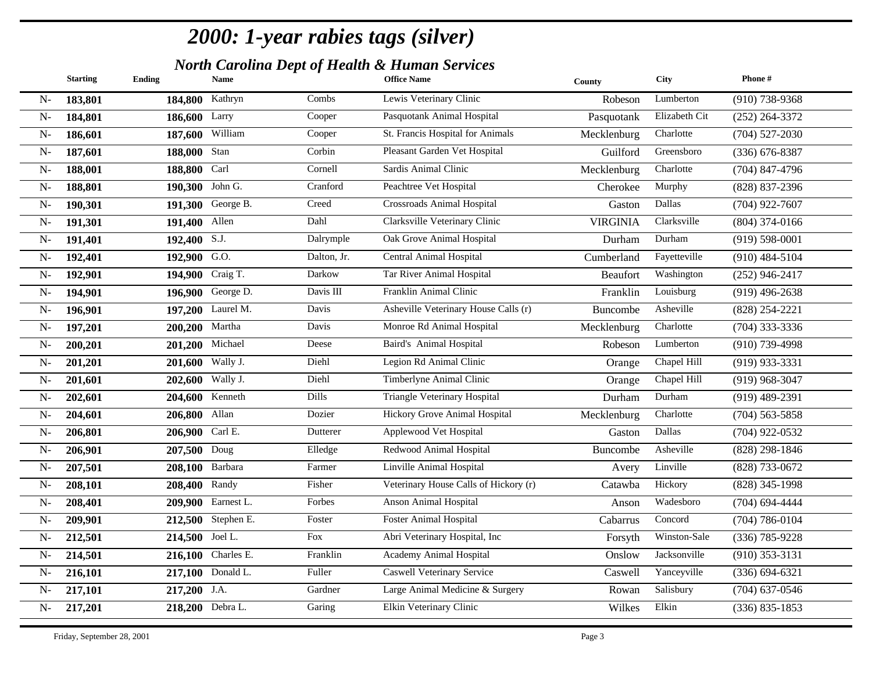|       | <b>Starting</b> | Ending            | <b>Name</b>        |             | <b>Office Name</b>                    | County          | <b>City</b>   | Phone#             |
|-------|-----------------|-------------------|--------------------|-------------|---------------------------------------|-----------------|---------------|--------------------|
| $N-$  | 183,801         | 184,800           | Kathryn            | Combs       | Lewis Veterinary Clinic               | Robeson         | Lumberton     | $(910)$ 738-9368   |
| $N-$  | 184,801         | 186,600 Larry     |                    | Cooper      | Pasquotank Animal Hospital            | Pasquotank      | Elizabeth Cit | $(252)$ 264-3372   |
| $N -$ | 186,601         | 187,600 William   |                    | Cooper      | St. Francis Hospital for Animals      | Mecklenburg     | Charlotte     | $(704)$ 527-2030   |
| $N -$ | 187,601         | 188,000 Stan      |                    | Corbin      | Pleasant Garden Vet Hospital          | Guilford        | Greensboro    | $(336) 676 - 8387$ |
| $N-$  | 188,001         | 188,800 Carl      |                    | Cornell     | Sardis Animal Clinic                  | Mecklenburg     | Charlotte     | $(704)$ 847-4796   |
| $N-$  | 188,801         | 190,300 John G.   |                    | Cranford    | Peachtree Vet Hospital                | Cherokee        | Murphy        | (828) 837-2396     |
| $N-$  | 190,301         |                   | 191,300 George B.  | Creed       | Crossroads Animal Hospital            | Gaston          | Dallas        | $(704)$ 922-7607   |
| $N-$  | 191,301         | 191,400 Allen     |                    | Dahl        | Clarksville Veterinary Clinic         | <b>VIRGINIA</b> | Clarksville   | $(804)$ 374-0166   |
| $N-$  | 191,401         | 192,400 S.J.      |                    | Dalrymple   | Oak Grove Animal Hospital             | Durham          | Durham        | $(919) 598 - 0001$ |
| $N-$  | 192,401         | 192,900 G.O.      |                    | Dalton, Jr. | Central Animal Hospital               | Cumberland      | Fayetteville  | $(910)$ 484-5104   |
| $N -$ | 192,901         | 194,900 Craig T.  |                    | Darkow      | Tar River Animal Hospital             | <b>Beaufort</b> | Washington    | $(252)$ 946-2417   |
| $N -$ | 194,901         |                   | 196,900 George D.  | Davis III   | Franklin Animal Clinic                | Franklin        | Louisburg     | $(919)$ 496-2638   |
| $N -$ | 196,901         |                   | 197,200 Laurel M.  | Davis       | Asheville Veterinary House Calls (r)  | Buncombe        | Asheville     | $(828)$ 254-2221   |
| $N-$  | 197,201         | 200,200 Martha    |                    | Davis       | Monroe Rd Animal Hospital             | Mecklenburg     | Charlotte     | $(704)$ 333-3336   |
| $N-$  | 200,201         | $201,200$ Michael |                    | Deese       | Baird's Animal Hospital               | Robeson         | Lumberton     | $(910)$ 739-4998   |
| $N-$  | 201,201         | 201,600 Wally J.  |                    | Diehl       | Legion Rd Animal Clinic               | Orange          | Chapel Hill   | $(919)$ 933-3331   |
| $N-$  | 201,601         | 202,600 Wally J.  |                    | Diehl       | Timberlyne Animal Clinic              | Orange          | Chapel Hill   | $(919)$ 968-3047   |
| $N-$  | 202,601         |                   | 204,600 Kenneth    | Dills       | Triangle Veterinary Hospital          | Durham          | Durham        | $(919)$ 489-2391   |
| $N-$  | 204,601         | 206,800 Allan     |                    | Dozier      | Hickory Grove Animal Hospital         | Mecklenburg     | Charlotte     | $(704)$ 563-5858   |
| $N-$  | 206,801         | 206,900 Carl E.   |                    | Dutterer    | Applewood Vet Hospital                | Gaston          | Dallas        | $(704)$ 922-0532   |
| $N-$  | 206,901         | 207,500 Doug      |                    | Elledge     | Redwood Animal Hospital               | <b>Buncombe</b> | Asheville     | $(828)$ 298-1846   |
| $N-$  | 207,501         | $208,100$ Barbara |                    | Farmer      | Linville Animal Hospital              | Avery           | Linville      | (828) 733-0672     |
| $N-$  | 208,101         | $208,400$ Randy   |                    | Fisher      | Veterinary House Calls of Hickory (r) | Catawba         | Hickory       | $(828)$ 345-1998   |
| $N-$  | 208,401         |                   | 209,900 Earnest L. | Forbes      | Anson Animal Hospital                 | Anson           | Wadesboro     | $(704)$ 694-4444   |
| $N-$  | 209,901         |                   | 212,500 Stephen E. | Foster      | Foster Animal Hospital                | Cabarrus        | Concord       | $(704) 786 - 0104$ |
| $N-$  | 212,501         | 214,500 Joel L.   |                    | <b>Fox</b>  | Abri Veterinary Hospital, Inc         | Forsyth         | Winston-Sale  | $(336) 785 - 9228$ |
| $N-$  | 214,501         |                   | 216,100 Charles E. | Franklin    | Academy Animal Hospital               | Onslow          | Jacksonville  | $(910)$ 353-3131   |
| $N-$  | 216,101         |                   | 217,100 Donald L.  | Fuller      | <b>Caswell Veterinary Service</b>     | Caswell         | Yanceyville   | $(336) 694 - 6321$ |
| $N-$  | 217,101         | 217,200 J.A.      |                    | Gardner     | Large Animal Medicine & Surgery       | Rowan           | Salisbury     | $(704)$ 637-0546   |
| $N-$  | 217,201         | 218,200 Debra L.  |                    | Garing      | Elkin Veterinary Clinic               | Wilkes          | Elkin         | $(336) 835 - 1853$ |
|       |                 |                   |                    |             |                                       |                 |               |                    |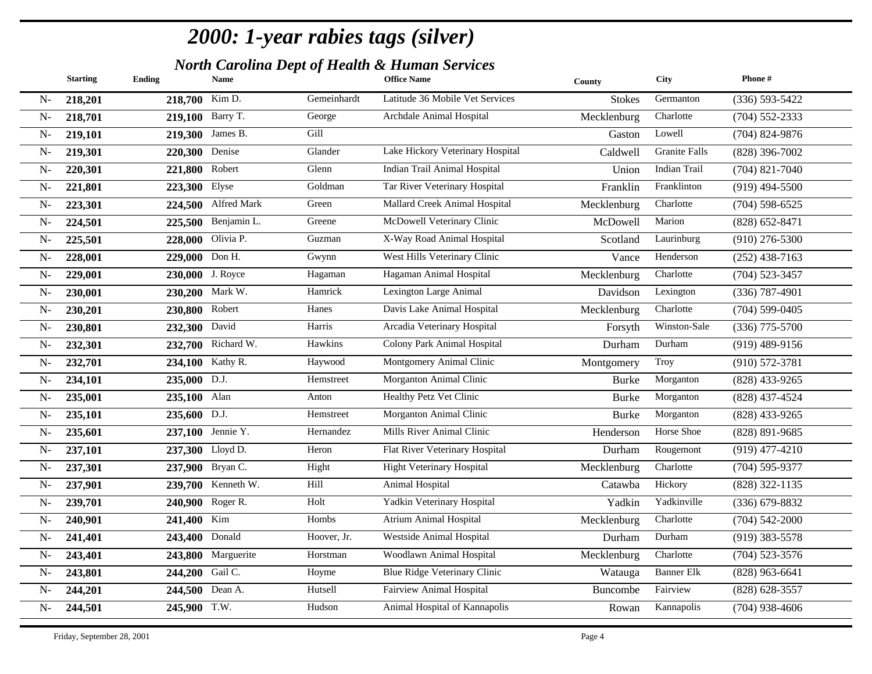|       | <b>Starting</b> | <b>Ending</b>     | <b>Name</b>         |             | <b>Office Name</b>               | County        | <b>City</b>          | Phone#             |
|-------|-----------------|-------------------|---------------------|-------------|----------------------------------|---------------|----------------------|--------------------|
| $N-$  | 218,201         | 218,700 Kim D.    |                     | Gemeinhardt | Latitude 36 Mobile Vet Services  | <b>Stokes</b> | Germanton            | $(336) 593 - 5422$ |
| $N-$  | 218,701         | 219,100 Barry T.  |                     | George      | Archdale Animal Hospital         | Mecklenburg   | Charlotte            | $(704) 552 - 2333$ |
| $N-$  | 219,101         |                   | 219,300 James B.    | Gill        |                                  | Gaston        | Lowell               | $(704)$ 824-9876   |
| $N-$  | 219,301         | $220,300$ Denise  |                     | Glander     | Lake Hickory Veterinary Hospital | Caldwell      | <b>Granite Falls</b> | $(828)$ 396-7002   |
| $N-$  | 220,301         | 221,800 Robert    |                     | Glenn       | Indian Trail Animal Hospital     | Union         | Indian Trail         | $(704)$ 821-7040   |
| $N-$  | 221,801         | 223,300 Elyse     |                     | Goldman     | Tar River Veterinary Hospital    | Franklin      | Franklinton          | $(919)$ 494-5500   |
| $N-$  | 223,301         |                   | 224,500 Alfred Mark | Green       | Mallard Creek Animal Hospital    | Mecklenburg   | Charlotte            | $(704)$ 598-6525   |
| $N-$  | 224,501         |                   | 225,500 Benjamin L. | Greene      | McDowell Veterinary Clinic       | McDowell      | Marion               | $(828) 652 - 8471$ |
| $N-$  | 225,501         |                   | 228,000 Olivia P.   | Guzman      | X-Way Road Animal Hospital       | Scotland      | Laurinburg           | $(910)$ 276-5300   |
| $N-$  | 228,001         | $229,000$ Don H.  |                     | Gwynn       | West Hills Veterinary Clinic     | Vance         | Henderson            | $(252)$ 438-7163   |
| $N-$  | 229,001         | 230,000 J. Royce  |                     | Hagaman     | Hagaman Animal Hospital          | Mecklenburg   | Charlotte            | $(704)$ 523-3457   |
| $N-$  | 230,001         |                   | 230,200 Mark W.     | Hamrick     | Lexington Large Animal           | Davidson      | Lexington            | $(336)$ 787-4901   |
| $N-$  | 230,201         | 230,800 Robert    |                     | Hanes       | Davis Lake Animal Hospital       | Mecklenburg   | Charlotte            | $(704)$ 599-0405   |
| $N-$  | 230,801         | 232,300 David     |                     | Harris      | Arcadia Veterinary Hospital      | Forsyth       | Winston-Sale         | $(336)$ 775-5700   |
| $N-$  | 232,301         |                   | 232,700 Richard W.  | Hawkins     | Colony Park Animal Hospital      | Durham        | Durham               | $(919)$ 489-9156   |
| $N-$  | 232,701         |                   | 234,100 Kathy R.    | Haywood     | Montgomery Animal Clinic         | Montgomery    | <b>Troy</b>          | $(910) 572 - 3781$ |
| $N-$  | 234,101         | $235,000$ D.J.    |                     | Hemstreet   | Morganton Animal Clinic          | <b>Burke</b>  | Morganton            | (828) 433-9265     |
| $N-$  | 235,001         | 235,100 Alan      |                     | Anton       | Healthy Petz Vet Clinic          | <b>Burke</b>  | Morganton            | (828) 437-4524     |
| $N-$  | 235,101         | $235,600$ D.J.    |                     | Hemstreet   | Morganton Animal Clinic          | <b>Burke</b>  | Morganton            | $(828)$ 433-9265   |
| $N-$  | 235,601         |                   | $237,100$ Jennie Y. | Hernandez   | Mills River Animal Clinic        | Henderson     | Horse Shoe           | (828) 891-9685     |
| $N-$  | 237,101         |                   | 237,300 Lloyd D.    | Heron       | Flat River Veterinary Hospital   | Durham        | Rougemont            | $(919)$ 477-4210   |
| $N-$  | 237,301         |                   | 237,900 Bryan C.    | Hight       | <b>Hight Veterinary Hospital</b> | Mecklenburg   | Charlotte            | $(704)$ 595-9377   |
| $N-$  | 237,901         |                   | 239,700 Kenneth W.  | Hill        | <b>Animal Hospital</b>           | Catawba       | Hickory              | (828) 322-1135     |
| $N-$  | 239,701         |                   | 240,900 Roger R.    | Holt        | Yadkin Veterinary Hospital       | Yadkin        | Yadkinville          | $(336)$ 679-8832   |
| $N-$  | 240,901         | 241,400 Kim       |                     | Hombs       | <b>Atrium Animal Hospital</b>    | Mecklenburg   | Charlotte            | $(704) 542 - 2000$ |
| $N-$  | 241,401         | 243,400 Donald    |                     | Hoover, Jr. | Westside Animal Hospital         | Durham        | Durham               | $(919)$ 383-5578   |
| $N-$  | 243,401         |                   | 243,800 Marguerite  | Horstman    | Woodlawn Animal Hospital         | Mecklenburg   | Charlotte            | $(704)$ 523-3576   |
| $N-$  | 243,801         | 244,200 Gail C.   |                     | Hoyme       | Blue Ridge Veterinary Clinic     | Watauga       | <b>Banner Elk</b>    | $(828)$ 963-6641   |
| $N -$ | 244,201         | $244,500$ Dean A. |                     | Hutsell     | Fairview Animal Hospital         | Buncombe      | Fairview             | (828) 628-3557     |
| $N-$  | 244,501         | 245,900 T.W.      |                     | Hudson      | Animal Hospital of Kannapolis    | Rowan         | Kannapolis           | $(704)$ 938-4606   |
|       |                 |                   |                     |             |                                  |               |                      |                    |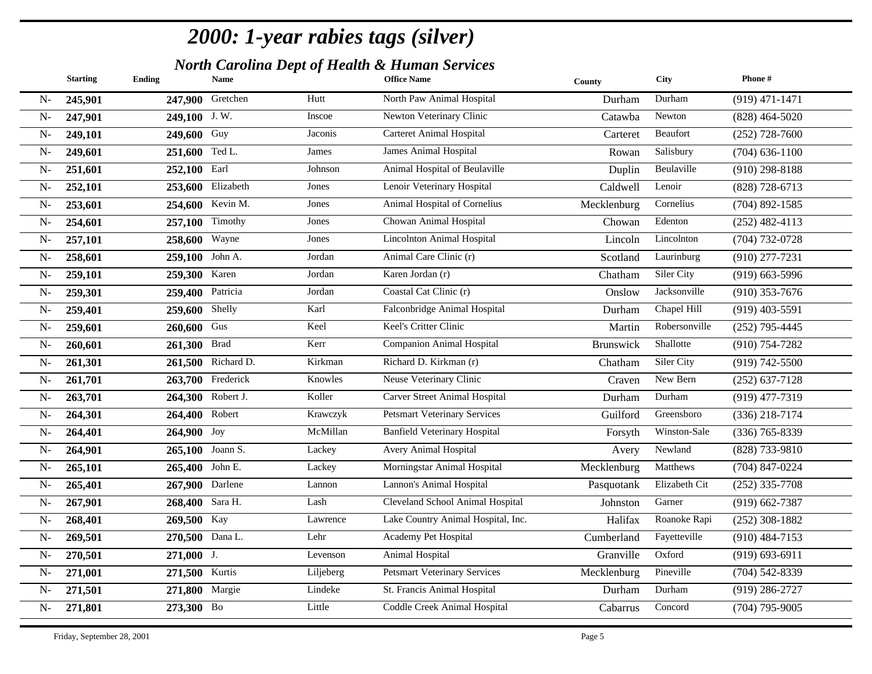|      | <b>Starting</b> | <b>Ending</b>      | <b>Name</b>        |           | <b>Office Name</b>                   | County      | <b>City</b>     | Phone#             |
|------|-----------------|--------------------|--------------------|-----------|--------------------------------------|-------------|-----------------|--------------------|
| $N-$ | 245,901         |                    | 247,900 Gretchen   | Hutt      | North Paw Animal Hospital            | Durham      | Durham          | $(919)$ 471-1471   |
| $N-$ | 247,901         | 249,100 J.W.       |                    | Inscoe    | Newton Veterinary Clinic             | Catawba     | Newton          | $(828)$ 464-5020   |
| $N-$ | 249,101         | 249,600 Guy        |                    | Jaconis   | <b>Carteret Animal Hospital</b>      | Carteret    | <b>Beaufort</b> | $(252)$ 728-7600   |
| $N-$ | 249,601         | $251,600$ Ted L.   |                    | James     | James Animal Hospital                | Rowan       | Salisbury       | $(704)$ 636-1100   |
| $N-$ | 251,601         | 252,100 Earl       |                    | Johnson   | Animal Hospital of Beulaville        | Duplin      | Beulaville      | $(910)$ 298-8188   |
| $N-$ | 252,101         |                    | 253,600 Elizabeth  | Jones     | Lenoir Veterinary Hospital           | Caldwell    | Lenoir          | $(828)$ 728-6713   |
| $N-$ | 253,601         |                    | 254,600 Kevin M.   | Jones     | Animal Hospital of Cornelius         | Mecklenburg | Cornelius       | $(704)$ 892-1585   |
| $N-$ | 254,601         | 257,100 Timothy    |                    | Jones     | Chowan Animal Hospital               | Chowan      | Edenton         | $(252)$ 482-4113   |
| $N-$ | 257,101         | 258,600 Wayne      |                    | Jones     | <b>Lincolnton Animal Hospital</b>    | Lincoln     | Lincolnton      | $(704)$ 732-0728   |
| $N-$ | 258,601         | $259,100$ John A.  |                    | Jordan    | Animal Care Clinic (r)               | Scotland    | Laurinburg      | $(910)$ 277-7231   |
| $N-$ | 259,101         | 259,300 Karen      |                    | Jordan    | Karen Jordan (r)                     | Chatham     | Siler City      | $(919)$ 663-5996   |
| $N-$ | 259,301         | $259,400$ Patricia |                    | Jordan    | Coastal Cat Clinic (r)               | Onslow      | Jacksonville    | $(910)$ 353-7676   |
| $N-$ | 259,401         | 259,600 Shelly     |                    | Karl      | Falconbridge Animal Hospital         | Durham      | Chapel Hill     | $(919)$ 403-5591   |
| $N-$ | 259,601         | 260,600 Gus        |                    | Keel      | Keel's Critter Clinic                | Martin      | Robersonville   | $(252)$ 795-4445   |
| $N-$ | 260,601         | 261,300 Brad       |                    | Kerr      | <b>Companion Animal Hospital</b>     | Brunswick   | Shallotte       | $(910)$ 754-7282   |
| $N-$ | 261,301         |                    | 261,500 Richard D. | Kirkman   | Richard D. Kirkman (r)               | Chatham     | Siler City      | $(919) 742 - 5500$ |
| $N-$ | 261,701         |                    | 263,700 Frederick  | Knowles   | Neuse Veterinary Clinic              | Craven      | New Bern        | $(252)$ 637-7128   |
| $N-$ | 263,701         |                    | 264,300 Robert J.  | Koller    | <b>Carver Street Animal Hospital</b> | Durham      | Durham          | $(919)$ 477-7319   |
| $N-$ | 264,301         | 264,400 Robert     |                    | Krawczyk  | <b>Petsmart Veterinary Services</b>  | Guilford    | Greensboro      | $(336)$ 218-7174   |
| $N-$ | 264,401         | 264,900 Joy        |                    | McMillan  | <b>Banfield Veterinary Hospital</b>  | Forsyth     | Winston-Sale    | $(336)$ 765-8339   |
| $N-$ | 264,901         | 265,100 Joann S.   |                    | Lackey    | Avery Animal Hospital                | Avery       | Newland         | (828) 733-9810     |
| $N-$ | 265,101         | $265,400$ John E.  |                    | Lackey    | Morningstar Animal Hospital          | Mecklenburg | Matthews        | $(704)$ 847-0224   |
| $N-$ | 265,401         | 267,900 Darlene    |                    | Lannon    | Lannon's Animal Hospital             | Pasquotank  | Elizabeth Cit   | $(252)$ 335-7708   |
| $N-$ | 267,901         | 268,400 Sara H.    |                    | Lash      | Cleveland School Animal Hospital     | Johnston    | Garner          | $(919) 662 - 7387$ |
| $N-$ | 268,401         | 269,500 Kay        |                    | Lawrence  | Lake Country Animal Hospital, Inc.   | Halifax     | Roanoke Rapi    | $(252)$ 308-1882   |
| $N-$ | 269,501         | 270,500 Dana L.    |                    | Lehr      | Academy Pet Hospital                 | Cumberland  | Fayetteville    | $(910)$ 484-7153   |
| $N-$ | 270,501         | 271,000 J.         |                    | Levenson  | Animal Hospital                      | Granville   | Oxford          | $(919) 693 - 6911$ |
| $N-$ | 271,001         | 271,500 Kurtis     |                    | Liljeberg | Petsmart Veterinary Services         | Mecklenburg | Pineville       | $(704)$ 542-8339   |
| $N-$ | 271,501         | 271,800 Margie     |                    | Lindeke   | St. Francis Animal Hospital          | Durham      | Durham          | $(919)$ 286-2727   |
| $N-$ | 271,801         | 273,300 Bo         |                    | Little    | Coddle Creek Animal Hospital         | Cabarrus    | Concord         | $(704)$ 795-9005   |
|      |                 |                    |                    |           |                                      |             |                 |                    |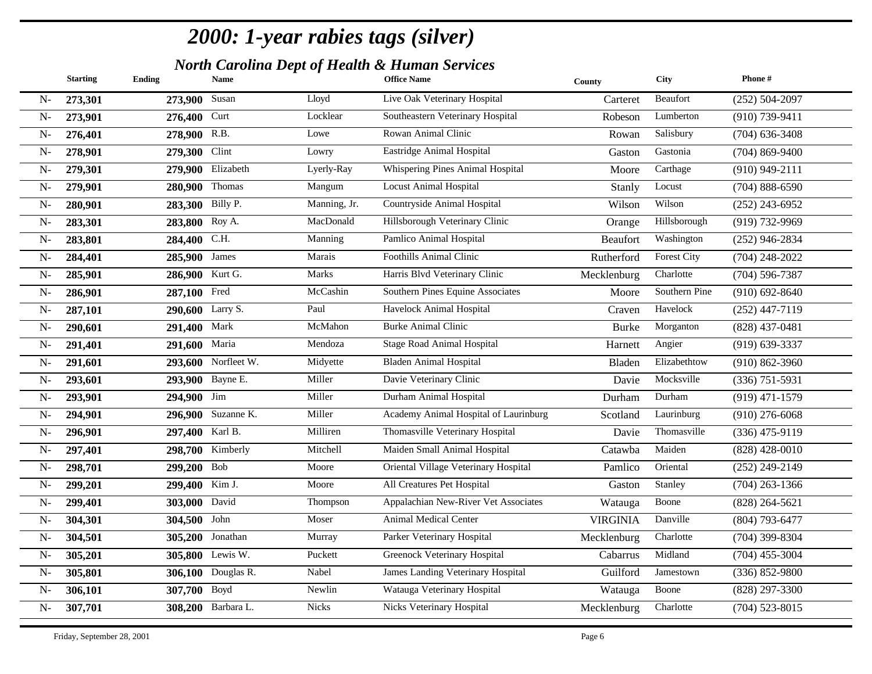|       | <b>Starting</b> | <b>Ending</b>    | <b>Name</b>         |              | <b>Office Name</b>                    | County          | <b>City</b>   | Phone#             |
|-------|-----------------|------------------|---------------------|--------------|---------------------------------------|-----------------|---------------|--------------------|
| $N-$  | 273,301         | 273,900          | Susan               | Lloyd        | Live Oak Veterinary Hospital          | Carteret        | Beaufort      | $(252) 504 - 2097$ |
| $N-$  | 273,901         | 276,400 Curt     |                     | Locklear     | Southeastern Veterinary Hospital      | Robeson         | Lumberton     | $(910)$ 739-9411   |
| $N-$  | 276,401         | 278,900 R.B.     |                     | Lowe         | Rowan Animal Clinic                   | Rowan           | Salisbury     | $(704)$ 636-3408   |
| $N-$  | 278,901         | 279,300 Clint    |                     | Lowry        | Eastridge Animal Hospital             | Gaston          | Gastonia      | $(704)$ 869-9400   |
| $N -$ | 279,301         |                  | 279,900 Elizabeth   | Lyerly-Ray   | Whispering Pines Animal Hospital      | Moore           | Carthage      | $(910)$ 949-2111   |
| $N -$ | 279,901         | 280,900 Thomas   |                     | Mangum       | <b>Locust Animal Hospital</b>         | Stanly          | Locust        | $(704)$ 888-6590   |
| $N -$ | 280,901         | 283,300 Billy P. |                     | Manning, Jr. | Countryside Animal Hospital           | Wilson          | Wilson        | $(252)$ 243-6952   |
| $N -$ | 283,301         | 283,800 Roy A.   |                     | MacDonald    | Hillsborough Veterinary Clinic        | Orange          | Hillsborough  | $(919) 732 - 9969$ |
| $N-$  | 283,801         | 284,400 C.H.     |                     | Manning      | Pamlico Animal Hospital               | Beaufort        | Washington    | $(252)$ 946-2834   |
| $N-$  | 284,401         | 285,900 James    |                     | Marais       | Foothills Animal Clinic               | Rutherford      | Forest City   | $(704)$ 248-2022   |
| $N-$  | 285,901         | 286,900 Kurt G.  |                     | Marks        | Harris Blvd Veterinary Clinic         | Mecklenburg     | Charlotte     | $(704) 596 - 7387$ |
| $N-$  | 286,901         | 287,100 Fred     |                     | McCashin     | Southern Pines Equine Associates      | Moore           | Southern Pine | $(910)$ 692-8640   |
| $N-$  | 287,101         | 290,600 Larry S. |                     | Paul         | Havelock Animal Hospital              | Craven          | Havelock      | $(252)$ 447-7119   |
| $N -$ | 290,601         | 291,400 Mark     |                     | McMahon      | <b>Burke Animal Clinic</b>            | <b>Burke</b>    | Morganton     | $(828)$ 437-0481   |
| $N-$  | 291,401         | 291,600 Maria    |                     | Mendoza      | <b>Stage Road Animal Hospital</b>     | Harnett         | Angier        | $(919) 639 - 3337$ |
| $N -$ | 291,601         |                  | 293,600 Norfleet W. | Midyette     | <b>Bladen Animal Hospital</b>         | <b>Bladen</b>   | Elizabethtow  | $(910) 862 - 3960$ |
| $N -$ | 293,601         |                  | 293,900 Bayne E.    | Miller       | Davie Veterinary Clinic               | Davie           | Mocksville    | $(336)$ 751-5931   |
| $N-$  | 293,901         | 294,900 Jim      |                     | Miller       | Durham Animal Hospital                | Durham          | Durham        | $(919)$ 471-1579   |
| $N -$ | 294,901         |                  | 296,900 Suzanne K.  | Miller       | Academy Animal Hospital of Laurinburg | Scotland        | Laurinburg    | $(910)$ 276-6068   |
| $N-$  | 296,901         | 297,400 Karl B.  |                     | Milliren     | Thomasville Veterinary Hospital       | Davie           | Thomasville   | $(336)$ 475-9119   |
| $N-$  | 297,401         |                  | $298,700$ Kimberly  | Mitchell     | Maiden Small Animal Hospital          | Catawba         | Maiden        | $(828)$ 428-0010   |
| $N-$  | 298,701         | 299,200 Bob      |                     | Moore        | Oriental Village Veterinary Hospital  | Pamlico         | Oriental      | $(252)$ 249-2149   |
| $N-$  | 299,201         | 299,400 Kim J.   |                     | Moore        | All Creatures Pet Hospital            | Gaston          | Stanley       | $(704)$ 263-1366   |
| $N-$  | 299,401         | 303,000 David    |                     | Thompson     | Appalachian New-River Vet Associates  | Watauga         | Boone         | $(828)$ 264-5621   |
| $N-$  | 304,301         | 304,500 John     |                     | Moser        | <b>Animal Medical Center</b>          | <b>VIRGINIA</b> | Danville      | $(804)$ 793-6477   |
| $N-$  | 304,501         |                  | 305,200 Jonathan    | Murray       | Parker Veterinary Hospital            | Mecklenburg     | Charlotte     | $(704)$ 399-8304   |
| $N-$  | 305,201         |                  | 305,800 Lewis W.    | Puckett      | <b>Greenock Veterinary Hospital</b>   | Cabarrus        | Midland       | $(704)$ 455-3004   |
| $N-$  | 305,801         |                  | 306,100 Douglas R.  | Nabel        | James Landing Veterinary Hospital     | Guilford        | Jamestown     | $(336) 852 - 9800$ |
| $N -$ | 306,101         | 307,700 Boyd     |                     | Newlin       | Watauga Veterinary Hospital           | Watauga         | Boone         | (828) 297-3300     |
| $N-$  | 307,701         |                  | 308,200 Barbara L.  | <b>Nicks</b> | Nicks Veterinary Hospital             | Mecklenburg     | Charlotte     | $(704)$ 523-8015   |
|       |                 |                  |                     |              |                                       |                 |               |                    |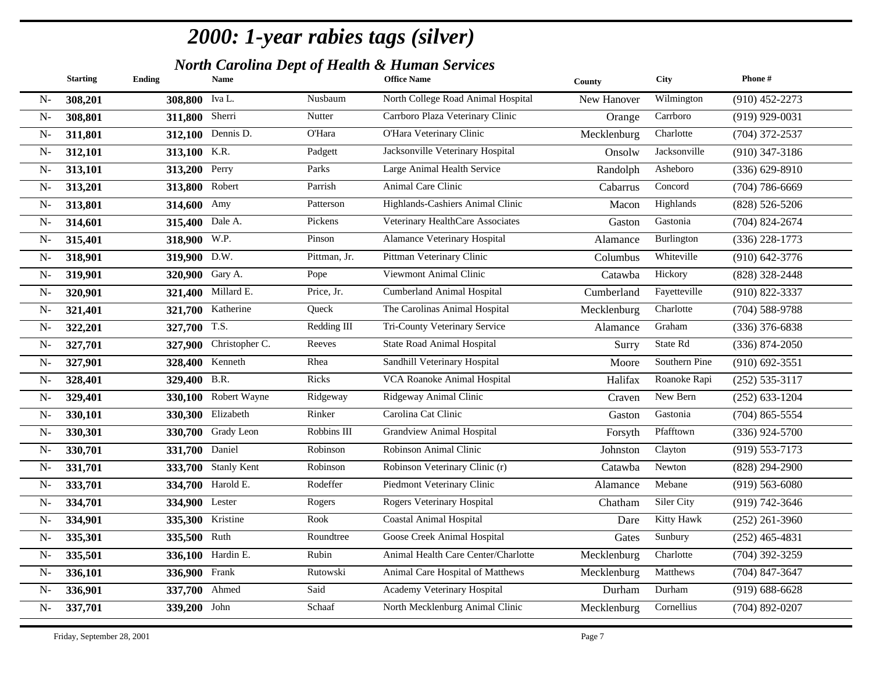|       | <b>Starting</b> | <b>Ending</b>             | <b>Name</b>            |              | <b>Office Name</b>                  | County      | <b>City</b>           | Phone#             |
|-------|-----------------|---------------------------|------------------------|--------------|-------------------------------------|-------------|-----------------------|--------------------|
| $N-$  | 308,201         | 308,800 Iva L.            |                        | Nusbaum      | North College Road Animal Hospital  | New Hanover | Wilmington            | $(910)$ 452-2273   |
| $N-$  | 308,801         | 311,800 Sherri            |                        | Nutter       | Carrboro Plaza Veterinary Clinic    | Orange      | Carrboro              | $(919)$ 929-0031   |
| $N-$  | 311,801         |                           | 312,100 Dennis D.      | O'Hara       | O'Hara Veterinary Clinic            | Mecklenburg | Charlotte             | $(704)$ 372-2537   |
| $N-$  | 312,101         | 313,100 K.R.              |                        | Padgett      | Jacksonville Veterinary Hospital    | Onsolw      | Jacksonville          | $(910)$ 347-3186   |
| $N-$  | 313,101         | 313,200 Perry             |                        | Parks        | Large Animal Health Service         | Randolph    | Asheboro              | $(336) 629 - 8910$ |
| $N-$  | 313,201         | 313,800 Robert            |                        | Parrish      | Animal Care Clinic                  | Cabarrus    | $\overline{C}$ oncord | $(704) 786 - 6669$ |
| $N-$  | 313,801         | 314,600 Amy               |                        | Patterson    | Highlands-Cashiers Animal Clinic    | Macon       | Highlands             | $(828) 526 - 5206$ |
| $N-$  | 314,601         | 315,400 Dale A.           |                        | Pickens      | Veterinary HealthCare Associates    | Gaston      | Gastonia              | $(704)$ 824-2674   |
| $N-$  | 315,401         | 318,900 W.P.              |                        | Pinson       | <b>Alamance Veterinary Hospital</b> | Alamance    | Burlington            | $(336)$ 228-1773   |
| $N-$  | 318,901         | 319,900 $\overline{D.W.}$ |                        | Pittman, Jr. | Pittman Veterinary Clinic           | Columbus    | Whiteville            | $(910)$ 642-3776   |
| $N-$  | 319,901         | 320,900 Gary A.           |                        | Pope         | Viewmont Animal Clinic              | Catawba     | Hickory               | $(828)$ 328-2448   |
| $N-$  | 320,901         |                           | 321,400 Millard E.     | Price, Jr.   | Cumberland Animal Hospital          | Cumberland  | Fayetteville          | $(910)$ 822-3337   |
| $N-$  | 321,401         |                           | 321,700 Katherine      | Queck        | The Carolinas Animal Hospital       | Mecklenburg | Charlotte             | $(704)$ 588-9788   |
| $N-$  | 322,201         | 327,700 T.S.              |                        | Redding III  | Tri-County Veterinary Service       | Alamance    | $\overline{G}$ raham  | $(336)$ 376-6838   |
| $N-$  | 327,701         |                           | 327,900 Christopher C. | Reeves       | <b>State Road Animal Hospital</b>   | Surry       | State Rd              | $(336) 874 - 2050$ |
| $N-$  | 327,901         |                           | 328,400 Kenneth        | Rhea         | Sandhill Veterinary Hospital        | Moore       | Southern Pine         | $(910) 692 - 3551$ |
| $N-$  | 328,401         | 329,400 B.R.              |                        | Ricks        | <b>VCA Roanoke Animal Hospital</b>  | Halifax     | Roanoke Rapi          | $(252) 535 - 3117$ |
| $N-$  | 329,401         |                           | 330,100 Robert Wayne   | Ridgeway     | Ridgeway Animal Clinic              | Craven      | New Bern              | $(252) 633 - 1204$ |
| $N-$  | 330,101         |                           | 330,300 Elizabeth      | Rinker       | Carolina Cat Clinic                 | Gaston      | Gastonia              | $(704)$ 865-5554   |
| $N-$  | 330,301         |                           | 330,700 Grady Leon     | Robbins III  | <b>Grandview Animal Hospital</b>    | Forsyth     | Pfafftown             | $(336)$ 924-5700   |
| $N -$ | 330,701         | 331,700 Daniel            |                        | Robinson     | Robinson Animal Clinic              | Johnston    | Clayton               | $(919) 553 - 7173$ |
| $N-$  | 331,701         |                           | 333,700 Stanly Kent    | Robinson     | Robinson Veterinary Clinic (r)      | Catawba     | Newton                | $(828) 294 - 2900$ |
| $N-$  | 333,701         |                           | 334,700 Harold E.      | Rodeffer     | Piedmont Veterinary Clinic          | Alamance    | Mebane                | $(919)$ 563-6080   |
| $N-$  | 334,701         | 334,900 Lester            |                        | Rogers       | Rogers Veterinary Hospital          | Chatham     | Siler City            | $(919) 742 - 3646$ |
| $N-$  | 334,901         | 335,300 Kristine          |                        | Rook         | <b>Coastal Animal Hospital</b>      | Dare        | Kitty Hawk            | $(252)$ 261-3960   |
| $N-$  | 335,301         | 335,500 Ruth              |                        | Roundtree    | Goose Creek Animal Hospital         | Gates       | Sunbury               | $(252)$ 465-4831   |
| $N-$  | 335,501         |                           | 336,100 Hardin E.      | Rubin        | Animal Health Care Center/Charlotte | Mecklenburg | Charlotte             | $(704)$ 392-3259   |
| $N-$  | 336,101         | 336,900 Frank             |                        | Rutowski     | Animal Care Hospital of Matthews    | Mecklenburg | Matthews              | $(704)$ 847-3647   |
| $N-$  | 336,901         | 337,700 Ahmed             |                        | Said         | Academy Veterinary Hospital         | Durham      | Durham                | $(919) 688 - 6628$ |
| $N-$  | 337,701         | 339,200 John              |                        | Schaaf       | North Mecklenburg Animal Clinic     | Mecklenburg | Cornellius            | $(704)$ 892-0207   |
|       |                 |                           |                        |              |                                     |             |                       |                    |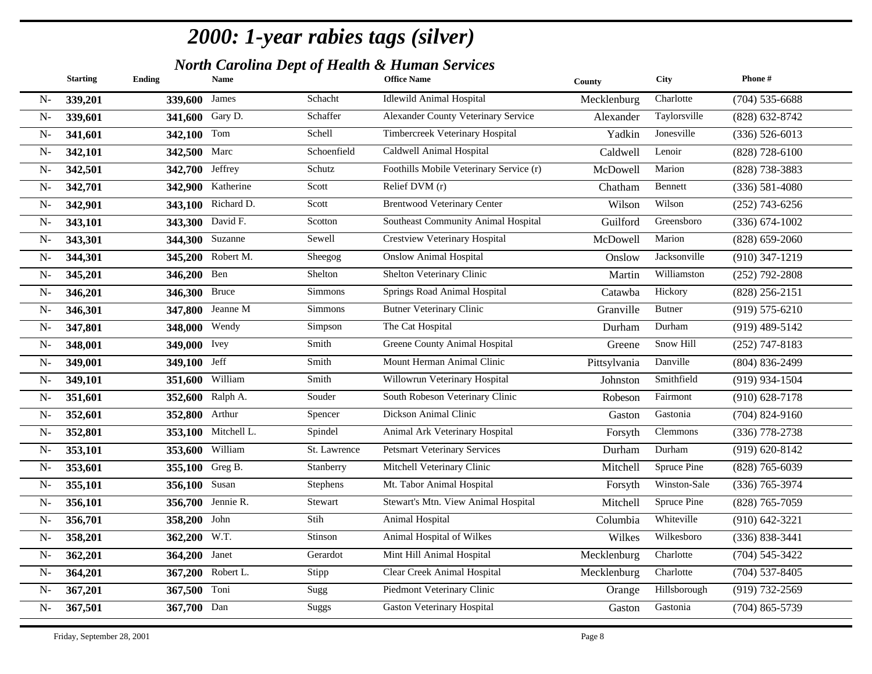|       | <b>Starting</b> | <b>Ending</b>     | <b>Name</b>         |                | <b>Office Name</b>                         | County       | <b>City</b>   | Phone#             |
|-------|-----------------|-------------------|---------------------|----------------|--------------------------------------------|--------------|---------------|--------------------|
| $N-$  | 339,201         | 339,600 James     |                     | Schacht        | <b>Idlewild Animal Hospital</b>            | Mecklenburg  | Charlotte     | $(704)$ 535-6688   |
| $N-$  | 339,601         | 341,600 Gary D.   |                     | Schaffer       | <b>Alexander County Veterinary Service</b> | Alexander    | Taylorsville  | $(828) 632 - 8742$ |
| $N-$  | 341,601         | 342,100 Tom       |                     | Schell         | Timbercreek Veterinary Hospital            | Yadkin       | Jonesville    | $(336) 526 - 6013$ |
| $N-$  | 342,101         | 342,500 Marc      |                     | Schoenfield    | Caldwell Animal Hospital                   | Caldwell     | Lenoir        | $(828)$ 728-6100   |
| $N-$  | 342,501         | 342,700 Jeffrey   |                     | Schutz         | Foothills Mobile Veterinary Service (r)    | McDowell     | Marion        | (828) 738-3883     |
| $N-$  | 342,701         |                   | 342,900 Katherine   | Scott          | Relief DVM (r)                             | Chatham      | Bennett       | $(336) 581 - 4080$ |
| $N-$  | 342,901         |                   | 343,100 Richard D.  | Scott          | <b>Brentwood Veterinary Center</b>         | Wilson       | Wilson        | $(252)$ 743-6256   |
| $N-$  | 343,101         |                   | 343,300 David F.    | Scotton        | Southeast Community Animal Hospital        | Guilford     | Greensboro    | $(336) 674 - 1002$ |
| $N-$  | 343,301         |                   | 344,300 Suzanne     | Sewell         | <b>Crestview Veterinary Hospital</b>       | McDowell     | Marion        | $(828) 659 - 2060$ |
| $N-$  | 344,301         |                   | 345,200 Robert M.   | Sheegog        | <b>Onslow Animal Hospital</b>              | Onslow       | Jacksonville  | $(910)$ 347-1219   |
| $N-$  | 345,201         | 346,200 Ben       |                     | Shelton        | Shelton Veterinary Clinic                  | Martin       | Williamston   | $(252)$ 792-2808   |
| $N-$  | 346,201         | 346,300 Bruce     |                     | Simmons        | Springs Road Animal Hospital               | Catawba      | Hickory       | $(828)$ 256-2151   |
| $N -$ | 346,301         |                   | 347,800 Jeanne M    | <b>Simmons</b> | <b>Butner Veterinary Clinic</b>            | Granville    | <b>Butner</b> | $(919) 575 - 6210$ |
| $N -$ | 347,801         | 348,000           | Wendy               | Simpson        | The Cat Hospital                           | Durham       | Durham        | $(919)$ 489-5142   |
| $N -$ | 348,001         | 349,000 Ivey      |                     | Smith          | Greene County Animal Hospital              | Greene       | Snow Hill     | $(252)$ 747-8183   |
| $N-$  | 349,001         | 349,100 Jeff      |                     | Smith          | Mount Herman Animal Clinic                 | Pittsylvania | Danville      | $(804) 836 - 2499$ |
| $N-$  | 349,101         | $351,600$ William |                     | Smith          | Willowrun Veterinary Hospital              | Johnston     | Smithfield    | $(919)$ 934-1504   |
| $N-$  | 351,601         |                   | 352,600 Ralph A.    | Souder         | South Robeson Veterinary Clinic            | Robeson      | Fairmont      | $(910)$ 628-7178   |
| $N -$ | 352,601         | 352,800 Arthur    |                     | Spencer        | Dickson Animal Clinic                      | Gaston       | Gastonia      | $(704)$ 824-9160   |
| $N-$  | 352,801         |                   | 353,100 Mitchell L. | Spindel        | Animal Ark Veterinary Hospital             | Forsyth      | Clemmons      | $(336)$ 778-2738   |
| $N -$ | 353,101         | 353,600 William   |                     | St. Lawrence   | <b>Petsmart Veterinary Services</b>        | Durham       | Durham        | $(919) 620 - 8142$ |
| $N -$ | 353,601         | 355,100 Greg B.   |                     | Stanberry      | Mitchell Veterinary Clinic                 | Mitchell     | Spruce Pine   | $(828)$ 765-6039   |
| $N-$  | 355,101         | 356,100 Susan     |                     | Stephens       | Mt. Tabor Animal Hospital                  | Forsyth      | Winston-Sale  | $(336)$ 765-3974   |
| $N-$  | 356,101         |                   | 356,700 Jennie R.   | Stewart        | Stewart's Mtn. View Animal Hospital        | Mitchell     | Spruce Pine   | (828) 765-7059     |
| $N-$  | 356,701         | 358,200 John      |                     | Stih           | Animal Hospital                            | Columbia     | Whiteville    | $(910) 642 - 3221$ |
| $N-$  | 358,201         | 362,200 W.T.      |                     | Stinson        | Animal Hospital of Wilkes                  | Wilkes       | Wilkesboro    | $(336) 838 - 3441$ |
| $N-$  | 362,201         | 364,200 Janet     |                     | Gerardot       | Mint Hill Animal Hospital                  | Mecklenburg  | Charlotte     | $(704) 545 - 3422$ |
| $N-$  | 364,201         |                   | 367,200 Robert L.   | Stipp          | Clear Creek Animal Hospital                | Mecklenburg  | Charlotte     | $(704)$ 537-8405   |
| $N-$  | 367,201         | 367,500 Toni      |                     | Sugg           | Piedmont Veterinary Clinic                 | Orange       | Hillsborough  | $(919) 732 - 2569$ |
| $N-$  | 367,501         | 367,700 Dan       |                     | Suggs          | <b>Gaston Veterinary Hospital</b>          | Gaston       | Gastonia      | $(704)$ 865-5739   |
|       |                 |                   |                     |                |                                            |              |               |                    |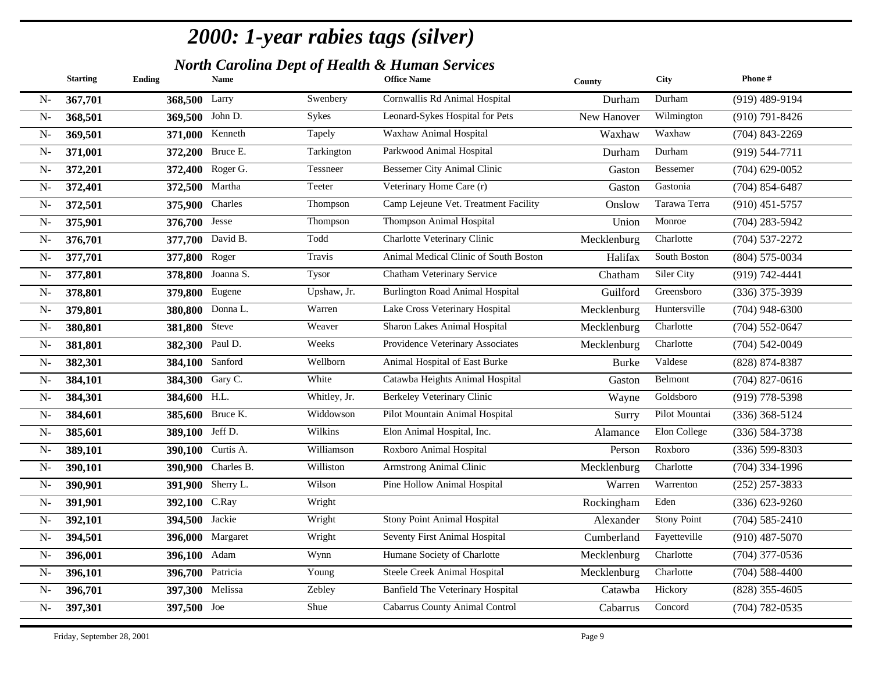|       | <b>Starting</b> | <b>Ending</b>    | <b>Name</b>             |              | <b>Office Name</b>                      | County       | <b>City</b>        | Phone#             |
|-------|-----------------|------------------|-------------------------|--------------|-----------------------------------------|--------------|--------------------|--------------------|
| $N-$  | 367,701         | 368,500 Larry    |                         | Swenbery     | Cornwallis Rd Animal Hospital           | Durham       | Durham             | $(919)$ 489-9194   |
| $N-$  | 368,501         | 369,500 John D.  |                         | Sykes        | Leonard-Sykes Hospital for Pets         | New Hanover  | Wilmington         | $(910) 791 - 8426$ |
| $N-$  | 369,501         |                  | 371,000 Kenneth         | Tapely       | Waxhaw Animal Hospital                  | Waxhaw       | Waxhaw             | $(704)$ 843-2269   |
| $N-$  | 371,001         |                  | 372,200 Bruce E.        | Tarkington   | Parkwood Animal Hospital                | Durham       | Durham             | $(919) 544 - 7711$ |
| $N-$  | 372,201         |                  | 372,400 Roger G.        | Tessneer     | <b>Bessemer City Animal Clinic</b>      | Gaston       | <b>Bessemer</b>    | $(704)$ 629-0052   |
| $N-$  | 372,401         | 372,500 Martha   |                         | Teeter       | Veterinary Home Care (r)                | Gaston       | Gastonia           | $(704)$ 854-6487   |
| $N-$  | 372,501         | 375,900 Charles  |                         | Thompson     | Camp Lejeune Vet. Treatment Facility    | Onslow       | Tarawa Terra       | $(910)$ 451-5757   |
| $N-$  | 375,901         | 376,700 Jesse    |                         | Thompson     | <b>Thompson Animal Hospital</b>         | Union        | Monroe             | $(704)$ 283-5942   |
| $N-$  | 376,701         |                  | 377,700 David B.        | Todd         | Charlotte Veterinary Clinic             | Mecklenburg  | Charlotte          | $(704) 537 - 2272$ |
| $N-$  | 377,701         | 377,800 Roger    |                         | Travis       | Animal Medical Clinic of South Boston   | Halifax      | South Boston       | $(804) 575 - 0034$ |
| $N-$  | 377,801         |                  | 378,800 Joanna S.       | <b>Tysor</b> | Chatham Veterinary Service              | Chatham      | Siler City         | (919) 742-4441     |
| $N-$  | 378,801         | 379,800 Eugene   |                         | Upshaw, Jr.  | <b>Burlington Road Animal Hospital</b>  | Guilford     | Greensboro         | $(336)$ 375-3939   |
| $N-$  | 379,801         |                  | 380,800 Donna L.        | Warren       | Lake Cross Veterinary Hospital          | Mecklenburg  | Huntersville       | $(704)$ 948-6300   |
| $N-$  | 380,801         | 381,800 Steve    |                         | Weaver       | Sharon Lakes Animal Hospital            | Mecklenburg  | Charlotte          | $(704)$ 552-0647   |
| $N -$ | 381,801         | 382,300 Paul D.  |                         | Weeks        | Providence Veterinary Associates        | Mecklenburg  | Charlotte          | $(704) 542 - 0049$ |
| $N-$  | 382,301         | 384,100 Sanford  |                         | Wellborn     | Animal Hospital of East Burke           | <b>Burke</b> | Valdese            | (828) 874-8387     |
| $N-$  | 384,101         | 384,300 Gary C.  |                         | White        | Catawba Heights Animal Hospital         | Gaston       | Belmont            | $(704)$ 827-0616   |
| $N-$  | 384,301         | 384,600 H.L.     |                         | Whitley, Jr. | Berkeley Veterinary Clinic              | Wayne        | Goldsboro          | $(919)$ 778-5398   |
| $N -$ | 384,601         |                  | 385,600 Bruce K.        | Widdowson    | Pilot Mountain Animal Hospital          | Surry        | Pilot Mountai      | $(336)$ 368-5124   |
| $N-$  | 385,601         | 389,100 Jeff D.  |                         | Wilkins      | Elon Animal Hospital, Inc.              | Alamance     | Elon College       | $(336) 584 - 3738$ |
| $N-$  | 389,101         |                  | 390,100 Curtis A.       | Williamson   | Roxboro Animal Hospital                 | Person       | Roxboro            | $(336) 599 - 8303$ |
| $N-$  | 390,101         |                  | 390,900 Charles B.      | Williston    | <b>Armstrong Animal Clinic</b>          | Mecklenburg  | Charlotte          | $(704)$ 334-1996   |
| $N-$  | 390,901         |                  | 391,900 Sherry L.       | Wilson       | Pine Hollow Animal Hospital             | Warren       | Warrenton          | $(252)$ 257-3833   |
| $N-$  | 391,901         | 392,100 C.Ray    |                         | Wright       |                                         | Rockingham   | Eden               | $(336) 623 - 9260$ |
| $N-$  | 392,101         | 394,500 Jackie   |                         | Wright       | <b>Stony Point Animal Hospital</b>      | Alexander    | <b>Stony Point</b> | $(704)$ 585-2410   |
| $N-$  | 394,501         |                  | <b>396,000</b> Margaret | Wright       | Seventy First Animal Hospital           | Cumberland   | Fayetteville       | $(910)$ 487-5070   |
| $N-$  | 396,001         | 396,100 Adam     |                         | Wynn         | Humane Society of Charlotte             | Mecklenburg  | Charlotte          | $(704)$ 377-0536   |
| $N-$  | 396,101         | 396,700 Patricia |                         | Young        | Steele Creek Animal Hospital            | Mecklenburg  | Charlotte          | $(704)$ 588-4400   |
| $N -$ | 396,701         | 397,300 Melissa  |                         | Zebley       | <b>Banfield The Veterinary Hospital</b> | Catawba      | Hickory            | $(828)$ 355-4605   |
| $N-$  | 397,301         | 397,500 Joe      |                         | Shue         | <b>Cabarrus County Animal Control</b>   | Cabarrus     | Concord            | $(704) 782 - 0535$ |
|       |                 |                  |                         |              |                                         |              |                    |                    |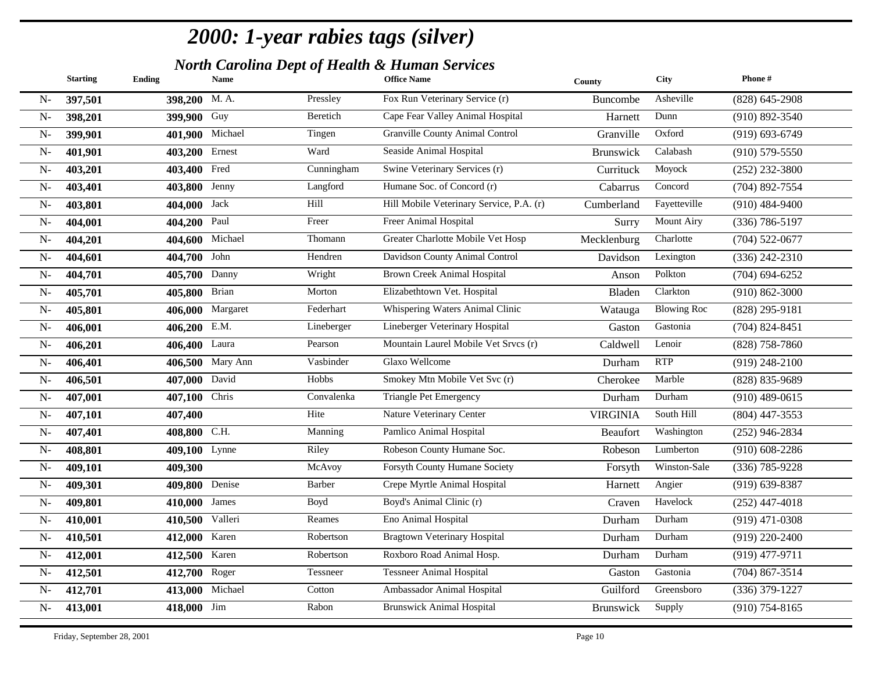|       | <b>Starting</b> | <b>Ending</b>   | <b>Name</b>      |            | <b>Office Name</b>                       | County          | <b>City</b>        | Phone#             |
|-------|-----------------|-----------------|------------------|------------|------------------------------------------|-----------------|--------------------|--------------------|
| $N-$  | 397,501         | $398,200$ M. A. |                  | Pressley   | Fox Run Veterinary Service (r)           | Buncombe        | Asheville          | $(828)$ 645-2908   |
| $N-$  | 398,201         | 399,900 Guy     |                  | Beretich   | Cape Fear Valley Animal Hospital         | Harnett         | Dunn               | $(910) 892 - 3540$ |
| $N-$  | 399,901         | 401,900 Michael |                  | Tingen     | <b>Granville County Animal Control</b>   | Granville       | Oxford             | $(919) 693 - 6749$ |
| $N-$  | 401,901         | 403,200 Ernest  |                  | Ward       | Seaside Animal Hospital                  | Brunswick       | Calabash           | $(910)$ 579-5550   |
| $N-$  | 403,201         | 403,400 Fred    |                  | Cunningham | Swine Veterinary Services (r)            | Currituck       | Moyock             | $(252)$ 232-3800   |
| $N-$  | 403,401         | 403,800 Jenny   |                  | Langford   | Humane Soc. of Concord (r)               | Cabarrus        | Concord            | $(704)$ 892-7554   |
| $N-$  | 403,801         | 404,000 Jack    |                  | Hill       | Hill Mobile Veterinary Service, P.A. (r) | Cumberland      | Fayetteville       | $(910)$ 484-9400   |
| $N-$  | 404,001         | 404,200 Paul    |                  | Freer      | Freer Animal Hospital                    | Surry           | Mount Airy         | $(336) 786 - 5197$ |
| $N-$  | 404,201         | 404,600 Michael |                  | Thomann    | Greater Charlotte Mobile Vet Hosp        | Mecklenburg     | Charlotte          | $(704)$ 522-0677   |
| $N-$  | 404,601         | 404,700 John    |                  | Hendren    | Davidson County Animal Control           | Davidson        | Lexington          | $(336)$ 242-2310   |
| $N-$  | 404,701         | 405,700 Danny   |                  | Wright     | <b>Brown Creek Animal Hospital</b>       | Anson           | Polkton            | $(704)$ 694-6252   |
| $N-$  | 405,701         | 405,800 Brian   |                  | Morton     | Elizabethtown Vet. Hospital              | Bladen          | Clarkton           | $(910) 862 - 3000$ |
| $N-$  | 405,801         |                 | 406,000 Margaret | Federhart  | Whispering Waters Animal Clinic          | Watauga         | <b>Blowing Roc</b> | $(828)$ 295-9181   |
| $N-$  | 406,001         | 406,200 E.M.    |                  | Lineberger | Lineberger Veterinary Hospital           | Gaston          | Gastonia           | $(704)$ 824-8451   |
| $N-$  | 406,201         | 406,400 Laura   |                  | Pearson    | Mountain Laurel Mobile Vet Srvcs (r)     | Caldwell        | Lenoir             | $(828)$ 758-7860   |
| $N-$  | 406,401         |                 | 406,500 Mary Ann | Vasbinder  | Glaxo Wellcome                           | Durham          | <b>RTP</b>         | $(919)$ 248-2100   |
| $N-$  | 406,501         | 407,000 David   |                  | Hobbs      | Smokey Mtn Mobile Vet Svc (r)            | Cherokee        | Marble             | $(828) 835 - 9689$ |
| $N-$  | 407,001         | 407,100 Chris   |                  | Convalenka | <b>Triangle Pet Emergency</b>            | Durham          | Durham             | $(910)$ 489-0615   |
| $N-$  | 407,101         | 407,400         |                  | Hite       | Nature Veterinary Center                 | <b>VIRGINIA</b> | South Hill         | $(804)$ 447-3553   |
| $N-$  | 407,401         | 408,800 C.H.    |                  | Manning    | Pamlico Animal Hospital                  | Beaufort        | Washington         | $(252)$ 946-2834   |
| $N-$  | 408,801         | 409,100 Lynne   |                  | Riley      | Robeson County Humane Soc.               | Robeson         | Lumberton          | $(910)$ 608-2286   |
| $N-$  | 409,101         | 409,300         |                  | McAvoy     | Forsyth County Humane Society            | Forsyth         | Winston-Sale       | $(336) 785 - 9228$ |
| $N -$ | 409,301         | 409,800 Denise  |                  | Barber     | Crepe Myrtle Animal Hospital             | Harnett         | Angier             | $(919)$ 639-8387   |
| $N-$  | 409,801         | 410,000 James   |                  | Boyd       | Boyd's Animal Clinic (r)                 | Craven          | Havelock           | $(252)$ 447-4018   |
| $N-$  | 410,001         | 410,500 Valleri |                  | Reames     | Eno Animal Hospital                      | Durham          | Durham             | $(919)$ 471-0308   |
| $N -$ | 410,501         | 412,000 Karen   |                  | Robertson  | <b>Bragtown Veterinary Hospital</b>      | Durham          | Durham             | $(919)$ 220-2400   |
| $N -$ | 412,001         | 412,500 Karen   |                  | Robertson  | Roxboro Road Animal Hosp.                | Durham          | Durham             | $(919)$ 477-9711   |
| $N -$ | 412,501         | 412,700 Roger   |                  | Tessneer   | <b>Tessneer Animal Hospital</b>          | Gaston          | Gastonia           | $(704)$ 867-3514   |
| $N -$ | 412,701         | 413,000 Michael |                  | Cotton     | Ambassador Animal Hospital               | Guilford        | Greensboro         | $(336)$ 379-1227   |
| $N-$  | 413,001         | 418,000 Jim     |                  | Rabon      | <b>Brunswick Animal Hospital</b>         | Brunswick       | Supply             | $(910)$ 754-8165   |
|       |                 |                 |                  |            |                                          |                 |                    |                    |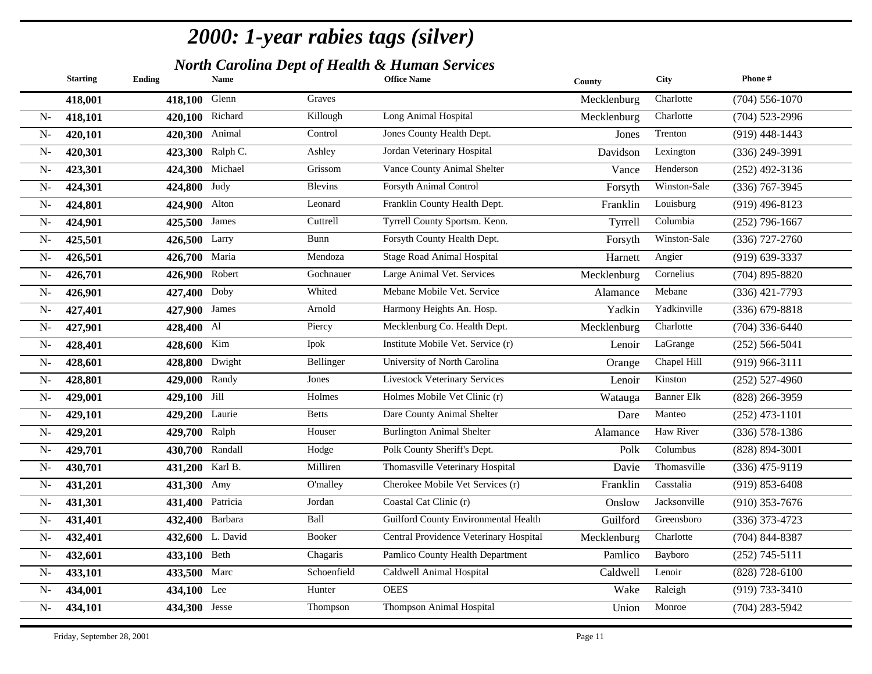|       | <b>Starting</b> | <b>Ending</b>    | <b>Name</b>      |                 | <b>Office Name</b>                     | County      | <b>City</b>       | Phone#             |
|-------|-----------------|------------------|------------------|-----------------|----------------------------------------|-------------|-------------------|--------------------|
|       | 418,001         | 418,100 Glenn    |                  | Graves          |                                        | Mecklenburg | Charlotte         | $(704)$ 556-1070   |
| $N-$  | 418,101         | 420,100 Richard  |                  | Killough        | Long Animal Hospital                   | Mecklenburg | Charlotte         | $(704)$ 523-2996   |
| $N-$  | 420,101         | 420,300 Animal   |                  | Control         | Jones County Health Dept.              | Jones       | Trenton           | $(919)$ 448-1443   |
| $N-$  | 420,301         | 423,300 Ralph C. |                  | Ashley          | Jordan Veterinary Hospital             | Davidson    | Lexington         | $(336)$ 249-3991   |
| $N-$  | 423,301         | 424,300 Michael  |                  | Grissom         | Vance County Animal Shelter            | Vance       | Henderson         | $(252)$ 492-3136   |
| $N-$  | 424,301         | 424,800 Judy     |                  | <b>Blevins</b>  | Forsyth Animal Control                 | Forsyth     | Winston-Sale      | $(336)$ 767-3945   |
| $N-$  | 424,801         | 424,900 Alton    |                  | Leonard         | Franklin County Health Dept.           | Franklin    | Louisburg         | $(919)$ 496-8123   |
| $N-$  | 424,901         | 425,500 James    |                  | Cuttrell        | Tyrrell County Sportsm. Kenn.          | Tyrrell     | Columbia          | $(252)$ 796-1667   |
| $N-$  | 425,501         | 426,500 Larry    |                  | Bunn            | Forsyth County Health Dept.            | Forsyth     | Winston-Sale      | $(336)$ 727-2760   |
| $N-$  | 426,501         | 426,700 Maria    |                  | Mendoza         | <b>Stage Road Animal Hospital</b>      | Harnett     | Angier            | $(919) 639 - 3337$ |
| $N-$  | 426,701         | 426,900 Robert   |                  | Gochnauer       | Large Animal Vet. Services             | Mecklenburg | Cornelius         | $(704)$ 895-8820   |
| $N-$  | 426,901         | 427,400 Doby     |                  | Whited          | Mebane Mobile Vet. Service             | Alamance    | Mebane            | $(336)$ 421-7793   |
| $N-$  | 427,401         | 427,900 James    |                  | Arnold          | Harmony Heights An. Hosp.              | Yadkin      | Yadkinville       | $(336)$ 679-8818   |
| $N-$  | 427,901         | 428,400 Al       |                  | Piercy          | Mecklenburg Co. Health Dept.           | Mecklenburg | Charlotte         | $(704)$ 336-6440   |
| $N-$  | 428,401         | 428,600 Kim      |                  | Ipok            | Institute Mobile Vet. Service (r)      | Lenoir      | LaGrange          | $(252) 566 - 5041$ |
| $N-$  | 428,601         | 428,800 Dwight   |                  | Bellinger       | University of North Carolina           | Orange      | Chapel Hill       | $(919)$ 966-3111   |
| $N-$  | 428,801         | 429,000 Randy    |                  | Jones           | <b>Livestock Veterinary Services</b>   | Lenoir      | Kinston           | $(252)$ 527-4960   |
| $N-$  | 429,001         | 429,100 Jill     |                  | Holmes          | Holmes Mobile Vet Clinic (r)           | Watauga     | <b>Banner Elk</b> | $(828)$ 266-3959   |
| $N-$  | 429,101         | 429,200 Laurie   |                  | <b>Betts</b>    | Dare County Animal Shelter             | Dare        | Manteo            | $(252)$ 473-1101   |
| $N-$  | 429,201         | 429,700 Ralph    |                  | Houser          | <b>Burlington Animal Shelter</b>       | Alamance    | Haw River         | $(336) 578 - 1386$ |
| $N-$  | 429,701         | 430,700 Randall  |                  | Hodge           | Polk County Sheriff's Dept.            | Polk        | Columbus          | (828) 894-3001     |
| $N-$  | 430,701         | 431,200 Karl B.  |                  | Milliren        | Thomasville Veterinary Hospital        | Davie       | Thomasville       | $(336)$ 475-9119   |
| $N-$  | 431,201         | 431,300 Amy      |                  | O'malley        | Cherokee Mobile Vet Services (r)       | Franklin    | Casstalia         | $(919)$ 853-6408   |
| $N-$  | 431,301         | 431,400 Patricia |                  | Jordan          | Coastal Cat Clinic (r)                 | Onslow      | Jacksonville      | $(910)$ 353-7676   |
| $N-$  | 431,401         | 432,400 Barbara  |                  | Ball            | Guilford County Environmental Health   | Guilford    | Greensboro        | $(336)$ 373-4723   |
| $N-$  | 432,401         |                  | 432,600 L. David | <b>Booker</b>   | Central Providence Veterinary Hospital | Mecklenburg | Charlotte         | $(704)$ 844-8387   |
| $N-$  | 432,601         | 433,100 Beth     |                  | Chagaris        | Pamlico County Health Department       | Pamlico     | Bayboro           | $(252)$ 745-5111   |
| $N-$  | 433,101         | 433,500 Marc     |                  | Schoenfield     | Caldwell Animal Hospital               | Caldwell    | Lenoir            | $(828)$ 728-6100   |
| $N -$ | 434,001         | 434,100 Lee      |                  | Hunter          | <b>OEES</b>                            | Wake        | Raleigh           | $(919) 733 - 3410$ |
| $N-$  | 434,101         | 434,300 Jesse    |                  | <b>Thompson</b> | <b>Thompson Animal Hospital</b>        | Union       | Monroe            | $(704)$ 283-5942   |
|       |                 |                  |                  |                 |                                        |             |                   |                    |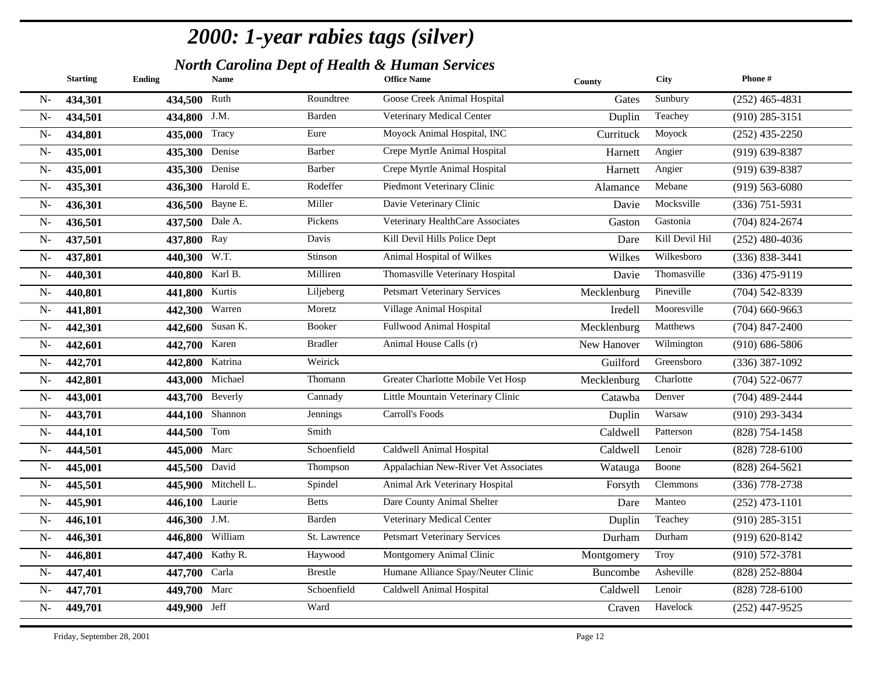|      | <b>Starting</b> | <b>Ending</b>   | <b>Name</b>         |                | <b>Office Name</b>                   | County      | City            | Phone#             |
|------|-----------------|-----------------|---------------------|----------------|--------------------------------------|-------------|-----------------|--------------------|
| $N-$ | 434,301         | 434,500 Ruth    |                     | Roundtree      | Goose Creek Animal Hospital          | Gates       | Sunbury         | $(252)$ 465-4831   |
| $N-$ | 434,501         | 434,800 J.M.    |                     | Barden         | Veterinary Medical Center            | Duplin      | Teachey         | $(910)$ 285-3151   |
| $N-$ | 434,801         | 435,000 Tracy   |                     | Eure           | Moyock Animal Hospital, INC          | Currituck   | Moyock          | $(252)$ 435-2250   |
| $N-$ | 435,001         | 435,300 Denise  |                     | <b>Barber</b>  | Crepe Myrtle Animal Hospital         | Harnett     | Angier          | $(919)$ 639-8387   |
| $N-$ | 435,001         | 435,300 Denise  |                     | Barber         | Crepe Myrtle Animal Hospital         | Harnett     | Angier          | $(919)$ 639-8387   |
| $N-$ | 435,301         |                 | 436,300 Harold E.   | Rodeffer       | Piedmont Veterinary Clinic           | Alamance    | Mebane          | $(919)$ 563-6080   |
| $N-$ | 436,301         |                 | 436,500 Bayne E.    | Miller         | Davie Veterinary Clinic              | Davie       | Mocksville      | $(336)$ 751-5931   |
| $N-$ | 436,501         | 437,500 Dale A. |                     | Pickens        | Veterinary HealthCare Associates     | Gaston      | Gastonia        | $(704)$ 824-2674   |
| $N-$ | 437,501         | 437,800 Ray     |                     | Davis          | Kill Devil Hills Police Dept         | Dare        | Kill Devil Hil  | $(252)$ 480-4036   |
| $N-$ | 437,801         | 440,300 W.T.    |                     | Stinson        | Animal Hospital of Wilkes            | Wilkes      | Wilkesboro      | $(336) 838 - 3441$ |
| $N-$ | 440,301         | 440,800 Karl B. |                     | Milliren       | Thomasville Veterinary Hospital      | Davie       | Thomasville     | $(336)$ 475-9119   |
| $N-$ | 440,801         | 441,800 Kurtis  |                     | Liljeberg      | <b>Petsmart Veterinary Services</b>  | Mecklenburg | Pineville       | $(704)$ 542-8339   |
| $N-$ | 441,801         | 442,300 Warren  |                     | Moretz         | Village Animal Hospital              | Iredell     | Mooresville     | $(704)$ 660-9663   |
| $N-$ | 442,301         |                 | 442,600 Susan K.    | <b>Booker</b>  | Fullwood Animal Hospital             | Mecklenburg | Matthews        | $(704)$ 847-2400   |
| $N-$ | 442,601         | 442,700 Karen   |                     | <b>Bradler</b> | Animal House Calls (r)               | New Hanover | Wilmington      | $(910) 686 - 5806$ |
| $N-$ | 442,701         | 442,800 Katrina |                     | Weirick        |                                      | Guilford    | Greensboro      | $(336)$ 387-1092   |
| $N-$ | 442,801         | 443,000 Michael |                     | Thomann        | Greater Charlotte Mobile Vet Hosp    | Mecklenburg | Charlotte       | $(704)$ 522-0677   |
| $N-$ | 443,001         | 443,700 Beverly |                     | Cannady        | Little Mountain Veterinary Clinic    | Catawba     | Denver          | $(704)$ 489-2444   |
| $N-$ | 443,701         | 444,100         | Shannon             | Jennings       | Carroll's Foods                      | Duplin      | Warsaw          | $(910)$ 293-3434   |
| $N-$ | 444,101         | 444,500 Tom     |                     | Smith          |                                      | Caldwell    | Patterson       | $(828)$ 754-1458   |
| $N-$ | 444,501         | 445,000 Marc    |                     | Schoenfield    | Caldwell Animal Hospital             | Caldwell    | Lenoir          | $(828)$ 728-6100   |
| $N-$ | 445,001         | 445,500 David   |                     | Thompson       | Appalachian New-River Vet Associates | Watauga     | Boone           | $(828)$ 264-5621   |
| $N-$ | 445,501         |                 | 445,900 Mitchell L. | Spindel        | Animal Ark Veterinary Hospital       | Forsyth     | <b>Clemmons</b> | $(336)$ 778-2738   |
| $N-$ | 445,901         | 446,100 Laurie  |                     | <b>Betts</b>   | Dare County Animal Shelter           | Dare        | Manteo          | $(252)$ 473-1101   |
| $N-$ | 446,101         | 446,300 J.M.    |                     | Barden         | Veterinary Medical Center            | Duplin      | Teachey         | $(910)$ 285-3151   |
| $N-$ | 446,301         | 446,800 William |                     | St. Lawrence   | <b>Petsmart Veterinary Services</b>  | Durham      | Durham          | $(919) 620 - 8142$ |
| $N-$ | 446,801         |                 | 447,400 Kathy R.    | Haywood        | Montgomery Animal Clinic             | Montgomery  | Troy            | $(910) 572 - 3781$ |
| $N-$ | 447,401         | 447,700 Carla   |                     | <b>Brestle</b> | Humane Alliance Spay/Neuter Clinic   | Buncombe    | Asheville       | (828) 252-8804     |
| $N-$ | 447,701         | 449,700 Marc    |                     | Schoenfield    | Caldwell Animal Hospital             | Caldwell    | Lenoir          | $(828)$ 728-6100   |
| $N-$ | 449,701         | 449,900 Jeff    |                     | Ward           |                                      | Craven      | Havelock        | $(252)$ 447-9525   |
|      |                 |                 |                     |                |                                      |             |                 |                    |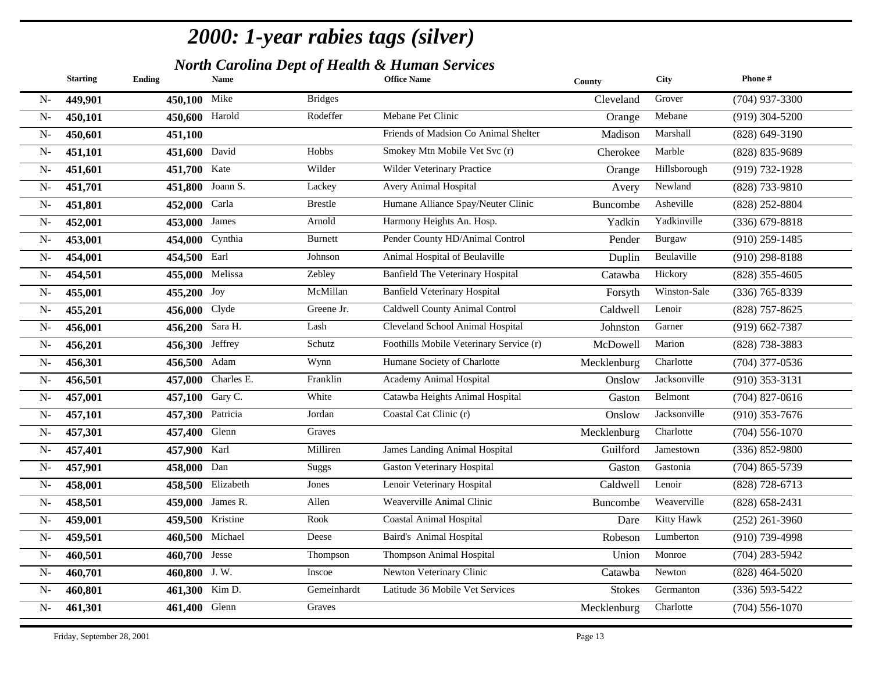|       | <b>Starting</b> | <b>Ending</b>    | <b>Name</b>        |                | <b>Office Name</b>                      | County        | City         | Phone#             |
|-------|-----------------|------------------|--------------------|----------------|-----------------------------------------|---------------|--------------|--------------------|
| $N-$  | 449,901         | 450,100 Mike     |                    | <b>Bridges</b> |                                         | Cleveland     | Grover       | $(704)$ 937-3300   |
| $N -$ | 450,101         | 450,600 Harold   |                    | Rodeffer       | Mebane Pet Clinic                       | Orange        | Mebane       | $(919)$ 304-5200   |
| $N-$  | 450,601         | 451,100          |                    |                | Friends of Madsion Co Animal Shelter    | Madison       | Marshall     | $(828) 649 - 3190$ |
| $N-$  | 451,101         | 451,600 David    |                    | Hobbs          | Smokey Mtn Mobile Vet Svc (r)           | Cherokee      | Marble       | (828) 835-9689     |
| $N-$  | 451,601         | 451,700 Kate     |                    | Wilder         | Wilder Veterinary Practice              | Orange        | Hillsborough | $(919) 732 - 1928$ |
| $N -$ | 451,701         | 451,800          | Joann S.           | Lackey         | Avery Animal Hospital                   | Avery         | Newland      | (828) 733-9810     |
| $N -$ | 451,801         | 452,000 Carla    |                    | <b>Brestle</b> | Humane Alliance Spay/Neuter Clinic      | Buncombe      | Asheville    | (828) 252-8804     |
| $N -$ | 452,001         | 453,000 James    |                    | Arnold         | Harmony Heights An. Hosp.               | Yadkin        | Yadkinville  | $(336)$ 679-8818   |
| $N -$ | 453,001         | 454,000 Cynthia  |                    | <b>Burnett</b> | Pender County HD/Animal Control         | Pender        | Burgaw       | $(910)$ 259-1485   |
| $N-$  | 454,001         | 454,500 Earl     |                    | Johnson        | Animal Hospital of Beulaville           | Duplin        | Beulaville   | $(910)$ 298-8188   |
| $N-$  | 454,501         | 455,000          | Melissa            | Zebley         | <b>Banfield The Veterinary Hospital</b> | Catawba       | Hickory      | $(828)$ 355-4605   |
| $N-$  | 455,001         | 455,200 Joy      |                    | McMillan       | <b>Banfield Veterinary Hospital</b>     | Forsyth       | Winston-Sale | (336) 765-8339     |
| $N-$  | 455,201         | 456,000 Clyde    |                    | Greene Jr.     | Caldwell County Animal Control          | Caldwell      | Lenoir       | (828) 757-8625     |
| $N-$  | 456,001         | 456,200 Sara H.  |                    | Lash           | Cleveland School Animal Hospital        | Johnston      | Garner       | $(919) 662 - 7387$ |
| $N-$  | 456,201         | 456,300 Jeffrey  |                    | Schutz         | Foothills Mobile Veterinary Service (r) | McDowell      | Marion       | (828) 738-3883     |
| $N-$  | 456,301         | 456,500 Adam     |                    | Wynn           | Humane Society of Charlotte             | Mecklenburg   | Charlotte    | $(704)$ 377-0536   |
| $N-$  | 456,501         |                  | 457,000 Charles E. | Franklin       | Academy Animal Hospital                 | Onslow        | Jacksonville | $(910)$ 353-3131   |
| $N-$  | 457,001         | 457,100 Gary C.  |                    | White          | Catawba Heights Animal Hospital         | Gaston        | Belmont      | $(704)$ 827-0616   |
| $N-$  | 457,101         | 457,300 Patricia |                    | Jordan         | Coastal Cat Clinic (r)                  | Onslow        | Jacksonville | $(910)$ 353-7676   |
| $N-$  | 457,301         | 457,400 Glenn    |                    | Graves         |                                         | Mecklenburg   | Charlotte    | $(704) 556 - 1070$ |
| $N-$  | 457,401         | 457,900 Karl     |                    | Milliren       | James Landing Animal Hospital           | Guilford      | Jamestown    | (336) 852-9800     |
| $N-$  | 457,901         | 458,000 Dan      |                    | <b>Suggs</b>   | <b>Gaston Veterinary Hospital</b>       | Gaston        | Gastonia     | $(704)$ 865-5739   |
| $N-$  | 458,001         |                  | 458,500 Elizabeth  | Jones          | Lenoir Veterinary Hospital              | Caldwell      | Lenoir       | (828) 728-6713     |
| $N-$  | 458,501         |                  | 459,000 James R.   | Allen          | Weaverville Animal Clinic               | Buncombe      | Weaverville  | $(828) 658 - 2431$ |
| $N-$  | 459,001         | 459,500 Kristine |                    | Rook           | <b>Coastal Animal Hospital</b>          | Dare          | Kitty Hawk   | $(252)$ 261-3960   |
| $N-$  | 459,501         | 460,500 Michael  |                    | Deese          | Baird's Animal Hospital                 | Robeson       | Lumberton    | $(910) 739 - 4998$ |
| $N-$  | 460,501         | 460,700 Jesse    |                    | Thompson       | Thompson Animal Hospital                | Union         | Monroe       | $(704)$ 283-5942   |
| $N-$  | 460,701         | 460,800 J.W.     |                    | Inscoe         | Newton Veterinary Clinic                | Catawba       | Newton       | $(828)$ 464-5020   |
| $N-$  | 460,801         | 461,300 Kim D.   |                    | Gemeinhardt    | Latitude 36 Mobile Vet Services         | <b>Stokes</b> | Germanton    | $(336) 593 - 5422$ |
| $N-$  | 461,301         | 461,400 Glenn    |                    | Graves         |                                         | Mecklenburg   | Charlotte    | $(704) 556 - 1070$ |
|       |                 |                  |                    |                |                                         |               |              |                    |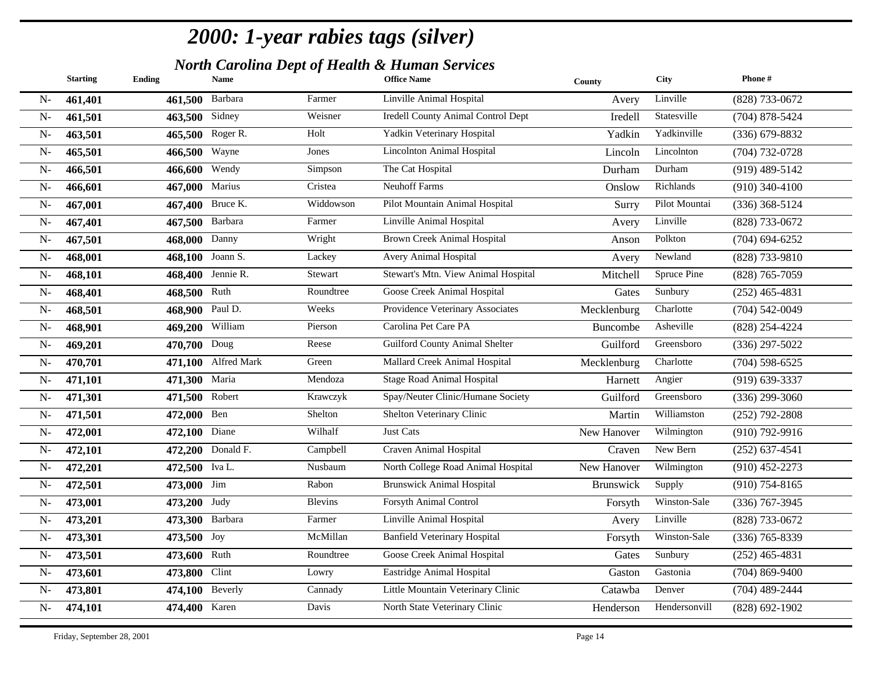|       | <b>Starting</b> | <b>Ending</b>   | <b>Name</b>         |           | <b>Office Name</b>                  | County           | <b>City</b>   | Phone#             |
|-------|-----------------|-----------------|---------------------|-----------|-------------------------------------|------------------|---------------|--------------------|
| $N-$  | 461,401         | 461,500         | Barbara             | Farmer    | Linville Animal Hospital            | Avery            | Linville      | (828) 733-0672     |
| $N-$  | 461,501         | 463,500 Sidney  |                     | Weisner   | Iredell County Animal Control Dept  | Iredell          | Statesville   | $(704)$ 878-5424   |
| $N-$  | 463,501         |                 | 465,500 Roger R.    | Holt      | Yadkin Veterinary Hospital          | Yadkin           | Yadkinville   | $(336)$ 679-8832   |
| $N-$  | 465,501         | 466,500 Wayne   |                     | Jones     | <b>Lincolnton Animal Hospital</b>   | Lincoln          | Lincolnton    | $(704)$ 732-0728   |
| $N-$  | 466,501         | $466,600$ Wendy |                     | Simpson   | The Cat Hospital                    | Durham           | Durham        | $(919)$ 489-5142   |
| $N-$  | 466,601         | 467,000 Marius  |                     | Cristea   | <b>Neuhoff Farms</b>                | Onslow           | Richlands     | $(910)$ 340-4100   |
| $N-$  | 467,001         |                 | 467,400 Bruce K.    | Widdowson | Pilot Mountain Animal Hospital      | Surry            | Pilot Mountai | $(336)$ 368-5124   |
| $N-$  | 467,401         | 467,500 Barbara |                     | Farmer    | Linville Animal Hospital            | Avery            | Linville      | (828) 733-0672     |
| $N-$  | 467,501         | 468,000 Danny   |                     | Wright    | <b>Brown Creek Animal Hospital</b>  | Anson            | Polkton       | $(704)$ 694-6252   |
| $N-$  | 468,001         |                 | 468,100 Joann S.    | Lackey    | Avery Animal Hospital               | Avery            | Newland       | (828) 733-9810     |
| $N-$  | 468,101         |                 | 468,400 Jennie R.   | Stewart   | Stewart's Mtn. View Animal Hospital | Mitchell         | Spruce Pine   | (828) 765-7059     |
| $N-$  | 468,401         | 468,500 Ruth    |                     | Roundtree | Goose Creek Animal Hospital         | Gates            | Sunbury       | $(252)$ 465-4831   |
| $N -$ | 468,501         | 468,900 Paul D. |                     | Weeks     | Providence Veterinary Associates    | Mecklenburg      | Charlotte     | $(704)$ 542-0049   |
| $N-$  | 468,901         | 469,200         | William             | Pierson   | Carolina Pet Care PA                | <b>Buncombe</b>  | Asheville     | (828) 254-4224     |
| $N-$  | 469,201         | 470,700 Doug    |                     | Reese     | Guilford County Animal Shelter      | Guilford         | Greensboro    | $(336)$ 297-5022   |
| $N-$  | 470,701         |                 | 471,100 Alfred Mark | Green     | Mallard Creek Animal Hospital       | Mecklenburg      | Charlotte     | $(704)$ 598-6525   |
| $N-$  | 471,101         | 471,300 Maria   |                     | Mendoza   | <b>Stage Road Animal Hospital</b>   | Harnett          | Angier        | $(919) 639 - 3337$ |
| $N-$  | 471,301         | 471,500 Robert  |                     | Krawczyk  | Spay/Neuter Clinic/Humane Society   | Guilford         | Greensboro    | $(336)$ 299-3060   |
| $N-$  | 471,501         | 472,000         | Ben                 | Shelton   | Shelton Veterinary Clinic           | Martin           | Williamston   | $(252)$ 792-2808   |
| $N-$  | 472,001         | 472,100 Diane   |                     | Wilhalf   | Just Cats                           | New Hanover      | Wilmington    | $(910)$ 792-9916   |
| $N-$  | 472,101         |                 | 472,200 Donald F.   | Campbell  | Craven Animal Hospital              | Craven           | New Bern      | $(252) 637 - 4541$ |
| $N-$  | 472,201         | 472,500 Iva L.  |                     | Nusbaum   | North College Road Animal Hospital  | New Hanover      | Wilmington    | $(910)$ 452-2273   |
| $N-$  | 472,501         | 473,000 Jim     |                     | Rabon     | <b>Brunswick Animal Hospital</b>    | <b>Brunswick</b> | Supply        | $(910)$ 754-8165   |
| $N-$  | 473,001         | 473,200         | Judy                | Blevins   | Forsyth Animal Control              | Forsyth          | Winston-Sale  | $(336)$ 767-3945   |
| $N-$  | 473,201         | 473,300 Barbara |                     | Farmer    | Linville Animal Hospital            | Avery            | Linville      | (828) 733-0672     |
| $N-$  | 473,301         | 473,500 Joy     |                     | McMillan  | <b>Banfield Veterinary Hospital</b> | Forsyth          | Winston-Sale  | $(336)$ 765-8339   |
| $N-$  | 473,501         | 473,600 Ruth    |                     | Roundtree | Goose Creek Animal Hospital         | Gates            | Sunbury       | $(252)$ 465-4831   |
| $N-$  | 473,601         | 473,800 Clint   |                     | Lowry     | Eastridge Animal Hospital           | Gaston           | Gastonia      | $(704)$ 869-9400   |
| $N-$  | 473,801         | 474,100 Beverly |                     | Cannady   | Little Mountain Veterinary Clinic   | Catawba          | Denver        | $(704)$ 489-2444   |
| $N-$  | 474,101         | 474,400 Karen   |                     | Davis     | North State Veterinary Clinic       | Henderson        | Hendersonvill | $(828) 692 - 1902$ |
|       |                 |                 |                     |           |                                     |                  |               |                    |